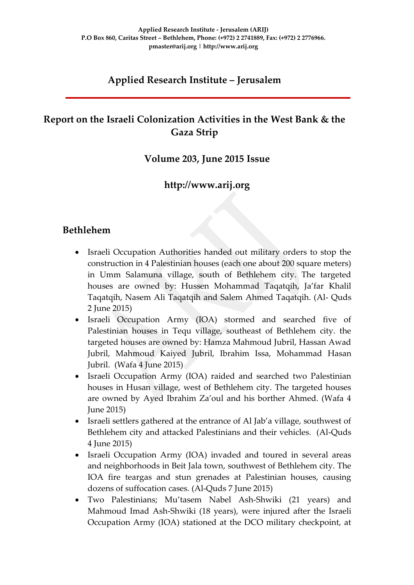# **Applied Research Institute – Jerusalem**

# **Report on the Israeli Colonization Activities in the West Bank & the Gaza Strip**

### **Volume 203, June 2015 Issue**

## **http://www.arij.org**

## **Bethlehem**

- Israeli Occupation Authorities handed out military orders to stop the construction in 4 Palestinian houses (each one about 200 square meters) in Umm Salamuna village, south of Bethlehem city. The targeted houses are owned by: Hussen Mohammad Taqatqih, Ja'far Khalil Taqatqih, Nasem Ali Taqatqih and Salem Ahmed Taqatqih. (Al- Quds 2 June 2015)
- Israeli Occupation Army (IOA) stormed and searched five of Palestinian houses in Tequ village, southeast of Bethlehem city. the targeted houses are owned by: Hamza Mahmoud Jubril, Hassan Awad Jubril, Mahmoud Kaiyed Jubril, Ibrahim Issa, Mohammad Hasan Jubril. (Wafa 4 June 2015)
- Israeli Occupation Army (IOA) raided and searched two Palestinian houses in Husan village, west of Bethlehem city. The targeted houses are owned by Ayed Ibrahim Za'oul and his borther Ahmed. (Wafa 4 June 2015)
- Israeli settlers gathered at the entrance of Al Jab'a village, southwest of Bethlehem city and attacked Palestinians and their vehicles. (Al-Quds 4 June 2015)
- Israeli Occupation Army (IOA) invaded and toured in several areas and neighborhoods in Beit Jala town, southwest of Bethlehem city. The IOA fire teargas and stun grenades at Palestinian houses, causing dozens of suffocation cases. (Al-Quds 7 June 2015)
- Two Palestinians; Mu'tasem Nabel Ash-Shwiki (21 years) and Mahmoud Imad Ash-Shwiki (18 years), were injured after the Israeli Occupation Army (IOA) stationed at the DCO military checkpoint, at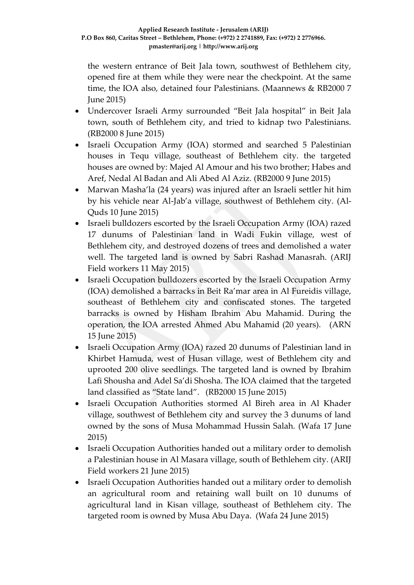the western entrance of Beit Jala town, southwest of Bethlehem city, opened fire at them while they were near the checkpoint. At the same time, the IOA also, detained four Palestinians. (Maannews & RB2000 7 June 2015)

- Undercover Israeli Army surrounded "Beit Jala hospital" in Beit Jala town, south of Bethlehem city, and tried to kidnap two Palestinians. (RB2000 8 June 2015)
- Israeli Occupation Army (IOA) stormed and searched 5 Palestinian houses in Tequ village, southeast of Bethlehem city. the targeted houses are owned by: Majed Al Amour and his two brother; Habes and Aref, Nedal Al Badan and Ali Abed Al Aziz. (RB2000 9 June 2015)
- Marwan Masha'la (24 years) was injured after an Israeli settler hit him by his vehicle near Al-Jab'a village, southwest of Bethlehem city. (Al-Quds 10 June 2015)
- Israeli bulldozers escorted by the Israeli Occupation Army (IOA) razed 17 dunums of Palestinian land in Wadi Fukin village, west of Bethlehem city, and destroyed dozens of trees and demolished a water well. The targeted land is owned by Sabri Rashad Manasrah. (ARIJ Field workers 11 May 2015)
- Israeli Occupation bulldozers escorted by the Israeli Occupation Army (IOA) demolished a barracks in Beit Ra'mar area in Al Fureidis village, southeast of Bethlehem city and confiscated stones. The targeted barracks is owned by Hisham Ibrahim Abu Mahamid. During the operation, the IOA arrested Ahmed Abu Mahamid (20 years). (ARN 15 June 2015)
- Israeli Occupation Army (IOA) razed 20 dunums of Palestinian land in Khirbet Hamuda, west of Husan village, west of Bethlehem city and uprooted 200 olive seedlings. The targeted land is owned by Ibrahim Lafi Shousha and Adel Sa'di Shosha. The IOA claimed that the targeted land classified as "State land". (RB2000 15 June 2015)
- Israeli Occupation Authorities stormed Al Bireh area in Al Khader village, southwest of Bethlehem city and survey the 3 dunums of land owned by the sons of Musa Mohammad Hussin Salah. (Wafa 17 June 2015)
- Israeli Occupation Authorities handed out a military order to demolish a Palestinian house in Al Masara village, south of Bethlehem city. (ARIJ Field workers 21 June 2015)
- Israeli Occupation Authorities handed out a military order to demolish an agricultural room and retaining wall built on 10 dunums of agricultural land in Kisan village, southeast of Bethlehem city. The targeted room is owned by Musa Abu Daya. (Wafa 24 June 2015)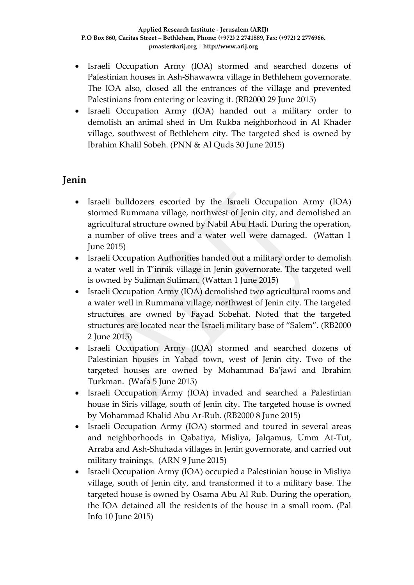- Israeli Occupation Army (IOA) stormed and searched dozens of Palestinian houses in Ash-Shawawra village in Bethlehem governorate. The IOA also, closed all the entrances of the village and prevented Palestinians from entering or leaving it. (RB2000 29 June 2015)
- Israeli Occupation Army (IOA) handed out a military order to demolish an animal shed in Um Rukba neighborhood in Al Khader village, southwest of Bethlehem city. The targeted shed is owned by Ibrahim Khalil Sobeh. (PNN & Al Quds 30 June 2015)

# **Jenin**

- Israeli bulldozers escorted by the Israeli Occupation Army (IOA) stormed Rummana village, northwest of Jenin city, and demolished an agricultural structure owned by Nabil Abu Hadi. During the operation, a number of olive trees and a water well were damaged. (Wattan 1 June 2015)
- Israeli Occupation Authorities handed out a military order to demolish a water well in T'innik village in Jenin governorate. The targeted well is owned by Suliman Suliman. (Wattan 1 June 2015)
- Israeli Occupation Army (IOA) demolished two agricultural rooms and a water well in Rummana village, northwest of Jenin city. The targeted structures are owned by Fayad Sobehat. Noted that the targeted structures are located near the Israeli military base of "Salem". (RB2000 2 June 2015)
- Israeli Occupation Army (IOA) stormed and searched dozens of Palestinian houses in Yabad town, west of Jenin city. Two of the targeted houses are owned by Mohammad Ba'jawi and Ibrahim Turkman. (Wafa 5 June 2015)
- Israeli Occupation Army (IOA) invaded and searched a Palestinian house in Siris village, south of Jenin city. The targeted house is owned by Mohammad Khalid Abu Ar-Rub. (RB2000 8 June 2015)
- Israeli Occupation Army (IOA) stormed and toured in several areas and neighborhoods in Qabatiya, Misliya, Jalqamus, Umm At-Tut, Arraba and Ash-Shuhada villages in Jenin governorate, and carried out military trainings. (ARN 9 June 2015)
- Israeli Occupation Army (IOA) occupied a Palestinian house in Misliya village, south of Jenin city, and transformed it to a military base. The targeted house is owned by Osama Abu Al Rub. During the operation, the IOA detained all the residents of the house in a small room. (Pal Info 10 June 2015)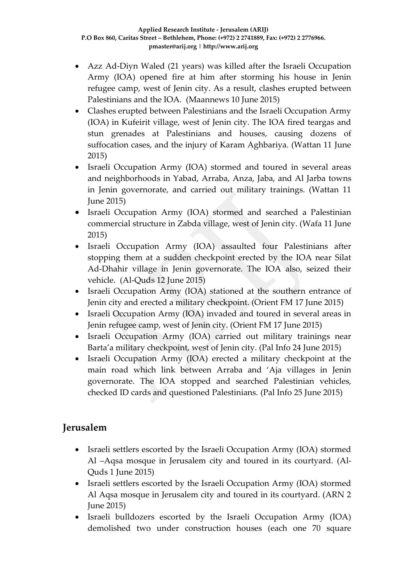- Azz Ad-Diyn Waled (21 years) was killed after the Israeli Occupation Army (IOA) opened fire at him after storming his house in Jenin refugee camp, west of Jenin city. As a result, clashes erupted between Palestinians and the IOA. (Maannews 10 June 2015)
- Clashes erupted between Palestinians and the Israeli Occupation Army (IOA) in Kufeirit village, west of Jenin city. The IOA fired teargas and stun grenades at Palestinians and houses, causing dozens of suffocation cases, and the injury of Karam Aghbariya. (Wattan 11 June 2015)
- Israeli Occupation Army (IOA) stormed and toured in several areas and neighborhoods in Yabad, Arraba, Anza, Jaba, and Al Jarba towns in Jenin governorate, and carried out military trainings. (Wattan 11 June 2015)
- Israeli Occupation Army (IOA) stormed and searched a Palestinian commercial structure in Zabda village, west of Jenin city. (Wafa 11 June 2015)
- Israeli Occupation Army (IOA) assaulted four Palestinians after stopping them at a sudden checkpoint erected by the IOA near Silat Ad-Dhahir village in Jenin governorate. The IOA also, seized their vehicle. (Al-Quds 12 June 2015)
- Israeli Occupation Army (IOA) stationed at the southern entrance of Jenin city and erected a military checkpoint. (Orient FM 17 June 2015)
- Israeli Occupation Army (IOA) invaded and toured in several areas in Jenin refugee camp, west of Jenin city. (Orient FM 17 June 2015)
- Israeli Occupation Army (IOA) carried out military trainings near Barta'a military checkpoint, west of Jenin city. (Pal Info 24 June 2015)
- Israeli Occupation Army (IOA) erected a military checkpoint at the main road which link between Arraba and 'Aja villages in Jenin governorate. The IOA stopped and searched Palestinian vehicles, checked ID cards and questioned Palestinians. (Pal Info 25 June 2015)

# **Jerusalem**

- Israeli settlers escorted by the Israeli Occupation Army (IOA) stormed Al –Aqsa mosque in Jerusalem city and toured in its courtyard. (Al-Quds 1 June 2015)
- Israeli settlers escorted by the Israeli Occupation Army (IOA) stormed Al Aqsa mosque in Jerusalem city and toured in its courtyard. (ARN 2 June 2015)
- Israeli bulldozers escorted by the Israeli Occupation Army (IOA) demolished two under construction houses (each one 70 square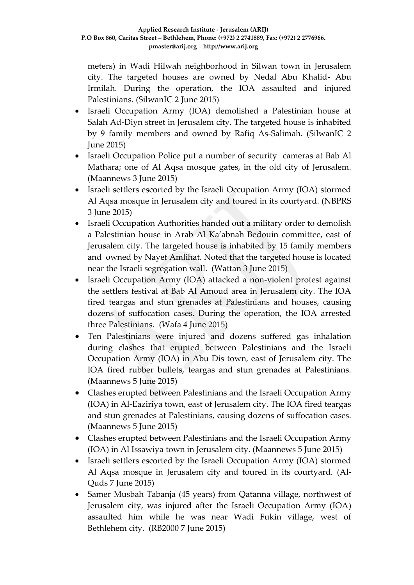meters) in Wadi Hilwah neighborhood in Silwan town in Jerusalem city. The targeted houses are owned by Nedal Abu Khalid- Abu Irmilah. During the operation, the IOA assaulted and injured Palestinians. (SilwanIC 2 June 2015)

- Israeli Occupation Army (IOA) demolished a Palestinian house at Salah Ad-Diyn street in Jerusalem city. The targeted house is inhabited by 9 family members and owned by Rafiq As-Salimah. (SilwanIC 2 June 2015)
- Israeli Occupation Police put a number of security cameras at Bab Al Mathara; one of Al Aqsa mosque gates, in the old city of Jerusalem. (Maannews 3 June 2015)
- Israeli settlers escorted by the Israeli Occupation Army (IOA) stormed Al Aqsa mosque in Jerusalem city and toured in its courtyard. (NBPRS 3 June 2015)
- Israeli Occupation Authorities handed out a military order to demolish a Palestinian house in Arab Al Ka'abnah Bedouin committee, east of Jerusalem city. The targeted house is inhabited by 15 family members and owned by Nayef Amlihat. Noted that the targeted house is located near the Israeli segregation wall. (Wattan 3 June 2015)
- Israeli Occupation Army (IOA) attacked a non-violent protest against the settlers festival at Bab Al Amoud area in Jerusalem city. The IOA fired teargas and stun grenades at Palestinians and houses, causing dozens of suffocation cases. During the operation, the IOA arrested three Palestinians. (Wafa 4 June 2015)
- Ten Palestinians were injured and dozens suffered gas inhalation during clashes that erupted between Palestinians and the Israeli Occupation Army (IOA) in Abu Dis town, east of Jerusalem city. The IOA fired rubber bullets, teargas and stun grenades at Palestinians. (Maannews 5 June 2015)
- Clashes erupted between Palestinians and the Israeli Occupation Army (IOA) in Al-Eaziriya town, east of Jerusalem city. The IOA fired teargas and stun grenades at Palestinians, causing dozens of suffocation cases. (Maannews 5 June 2015)
- Clashes erupted between Palestinians and the Israeli Occupation Army (IOA) in Al Issawiya town in Jerusalem city. (Maannews 5 June 2015)
- Israeli settlers escorted by the Israeli Occupation Army (IOA) stormed Al Aqsa mosque in Jerusalem city and toured in its courtyard. (Al-Quds 7 June 2015)
- Samer Musbah Tabanja (45 years) from Qatanna village, northwest of Jerusalem city, was injured after the Israeli Occupation Army (IOA) assaulted him while he was near Wadi Fukin village, west of Bethlehem city. (RB2000 7 June 2015)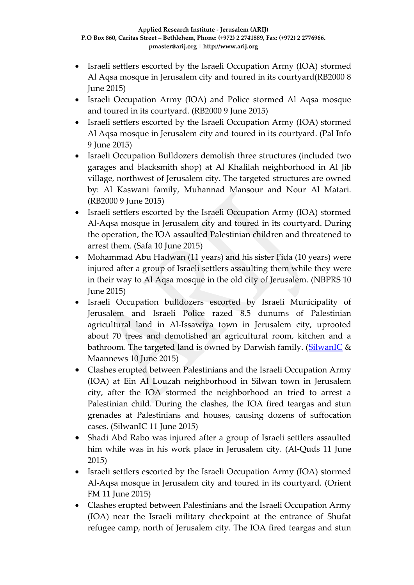- Israeli settlers escorted by the Israeli Occupation Army (IOA) stormed Al Aqsa mosque in Jerusalem city and toured in its courtyard(RB2000 8 June 2015)
- Israeli Occupation Army (IOA) and Police stormed Al Aqsa mosque and toured in its courtyard. (RB2000 9 June 2015)
- Israeli settlers escorted by the Israeli Occupation Army (IOA) stormed Al Aqsa mosque in Jerusalem city and toured in its courtyard. (Pal Info 9 June 2015)
- Israeli Occupation Bulldozers demolish three structures (included two garages and blacksmith shop) at Al Khalilah neighborhood in Al Jib village, northwest of Jerusalem city. The targeted structures are owned by: Al Kaswani family, Muhannad Mansour and Nour Al Matari. (RB2000 9 June 2015)
- Israeli settlers escorted by the Israeli Occupation Army (IOA) stormed Al-Aqsa mosque in Jerusalem city and toured in its courtyard. During the operation, the IOA assaulted Palestinian children and threatened to arrest them. (Safa 10 June 2015)
- Mohammad Abu Hadwan (11 years) and his sister Fida (10 years) were injured after a group of Israeli settlers assaulting them while they were in their way to Al Aqsa mosque in the old city of Jerusalem. (NBPRS 10 June 2015)
- Israeli Occupation bulldozers escorted by Israeli Municipality of Jerusalem and Israeli Police razed 8.5 dunums of Palestinian agricultural land in Al-Issawiya town in Jerusalem city, uprooted about 70 trees and demolished an agricultural room, kitchen and a bathroom. The targeted land is owned by Darwish family. [\(SilwanIC](http://silwanic.net/?p=59173) & Maannews 10 June 2015)
- Clashes erupted between Palestinians and the Israeli Occupation Army (IOA) at Ein Al Louzah neighborhood in Silwan town in Jerusalem city, after the IOA stormed the neighborhood an tried to arrest a Palestinian child. During the clashes, the IOA fired teargas and stun grenades at Palestinians and houses, causing dozens of suffocation cases. (SilwanIC 11 June 2015)
- Shadi Abd Rabo was injured after a group of Israeli settlers assaulted him while was in his work place in Jerusalem city. (Al-Quds 11 June 2015)
- Israeli settlers escorted by the Israeli Occupation Army (IOA) stormed Al-Aqsa mosque in Jerusalem city and toured in its courtyard. (Orient FM 11 June 2015)
- Clashes erupted between Palestinians and the Israeli Occupation Army (IOA) near the Israeli military checkpoint at the entrance of Shufat refugee camp, north of Jerusalem city. The IOA fired teargas and stun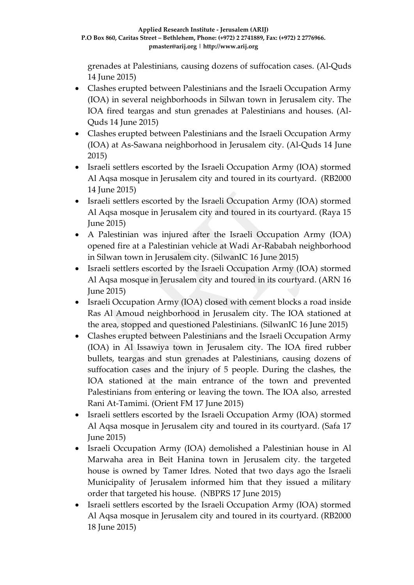grenades at Palestinians, causing dozens of suffocation cases. (Al-Quds 14 June 2015)

- Clashes erupted between Palestinians and the Israeli Occupation Army (IOA) in several neighborhoods in Silwan town in Jerusalem city. The IOA fired teargas and stun grenades at Palestinians and houses. (Al-Quds 14 June 2015)
- Clashes erupted between Palestinians and the Israeli Occupation Army (IOA) at As-Sawana neighborhood in Jerusalem city. (Al-Quds 14 June 2015)
- Israeli settlers escorted by the Israeli Occupation Army (IOA) stormed Al Aqsa mosque in Jerusalem city and toured in its courtyard. (RB2000 14 June 2015)
- Israeli settlers escorted by the Israeli Occupation Army (IOA) stormed Al Aqsa mosque in Jerusalem city and toured in its courtyard. (Raya 15 June 2015)
- A Palestinian was injured after the Israeli Occupation Army (IOA) opened fire at a Palestinian vehicle at Wadi Ar-Rababah neighborhood in Silwan town in Jerusalem city. (SilwanIC 16 June 2015)
- Israeli settlers escorted by the Israeli Occupation Army (IOA) stormed Al Aqsa mosque in Jerusalem city and toured in its courtyard. (ARN 16 June 2015)
- Israeli Occupation Army (IOA) closed with cement blocks a road inside Ras Al Amoud neighborhood in Jerusalem city. The IOA stationed at the area, stopped and questioned Palestinians. (SilwanIC 16 June 2015)
- Clashes erupted between Palestinians and the Israeli Occupation Army (IOA) in Al Issawiya town in Jerusalem city. The IOA fired rubber bullets, teargas and stun grenades at Palestinians, causing dozens of suffocation cases and the injury of 5 people. During the clashes, the IOA stationed at the main entrance of the town and prevented Palestinians from entering or leaving the town. The IOA also, arrested Rani At-Tamimi. (Orient FM 17 June 2015)
- Israeli settlers escorted by the Israeli Occupation Army (IOA) stormed Al Aqsa mosque in Jerusalem city and toured in its courtyard. (Safa 17 June 2015)
- Israeli Occupation Army (IOA) demolished a Palestinian house in Al Marwaha area in Beit Hanina town in Jerusalem city. the targeted house is owned by Tamer Idres. Noted that two days ago the Israeli Municipality of Jerusalem informed him that they issued a military order that targeted his house. (NBPRS 17 June 2015)
- Israeli settlers escorted by the Israeli Occupation Army (IOA) stormed Al Aqsa mosque in Jerusalem city and toured in its courtyard. (RB2000 18 June 2015)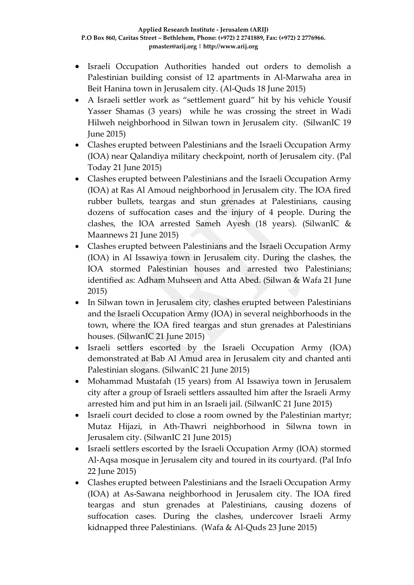- Israeli Occupation Authorities handed out orders to demolish a Palestinian building consist of 12 apartments in Al-Marwaha area in Beit Hanina town in Jerusalem city. (Al-Quds 18 June 2015)
- A Israeli settler work as "settlement guard" hit by his vehicle Yousif Yasser Shamas (3 years) while he was crossing the street in Wadi Hilweh neighborhood in Silwan town in Jerusalem city. (SilwanIC 19 June 2015)
- Clashes erupted between Palestinians and the Israeli Occupation Army (IOA) near Qalandiya military checkpoint, north of Jerusalem city. (Pal Today 21 June 2015)
- Clashes erupted between Palestinians and the Israeli Occupation Army (IOA) at Ras Al Amoud neighborhood in Jerusalem city. The IOA fired rubber bullets, teargas and stun grenades at Palestinians, causing dozens of suffocation cases and the injury of 4 people. During the clashes, the IOA arrested Sameh Ayesh (18 years). (SilwanIC & Maannews 21 June 2015)
- Clashes erupted between Palestinians and the Israeli Occupation Army (IOA) in Al Issawiya town in Jerusalem city. During the clashes, the IOA stormed Palestinian houses and arrested two Palestinians; identified as: Adham Muhseen and Atta Abed. (Silwan & Wafa 21 June 2015)
- In Silwan town in Jerusalem city, clashes erupted between Palestinians and the Israeli Occupation Army (IOA) in several neighborhoods in the town, where the IOA fired teargas and stun grenades at Palestinians houses. (SilwanIC 21 June 2015)
- Israeli settlers escorted by the Israeli Occupation Army (IOA) demonstrated at Bab Al Amud area in Jerusalem city and chanted anti Palestinian slogans. (SilwanIC 21 June 2015)
- Mohammad Mustafah (15 years) from Al Issawiya town in Jerusalem city after a group of Israeli settlers assaulted him after the Israeli Army arrested him and put him in an Israeli jail. (SilwanIC 21 June 2015)
- Israeli court decided to close a room owned by the Palestinian martyr; Mutaz Hijazi, in Ath-Thawri neighborhood in Silwna town in Jerusalem city. (SilwanIC 21 June 2015)
- Israeli settlers escorted by the Israeli Occupation Army (IOA) stormed Al-Aqsa mosque in Jerusalem city and toured in its courtyard. (Pal Info 22 June 2015)
- Clashes erupted between Palestinians and the Israeli Occupation Army (IOA) at As-Sawana neighborhood in Jerusalem city. The IOA fired teargas and stun grenades at Palestinians, causing dozens of suffocation cases. During the clashes, undercover Israeli Army kidnapped three Palestinians. (Wafa & Al-Quds 23 June 2015)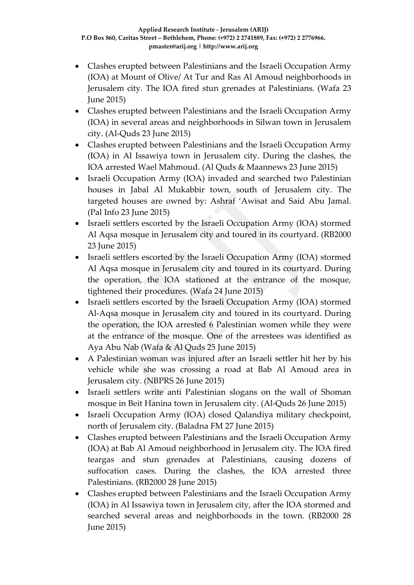- Clashes erupted between Palestinians and the Israeli Occupation Army (IOA) at Mount of Olive/ At Tur and Ras Al Amoud neighborhoods in Jerusalem city. The IOA fired stun grenades at Palestinians. (Wafa 23 June 2015)
- Clashes erupted between Palestinians and the Israeli Occupation Army (IOA) in several areas and neighborhoods in Silwan town in Jerusalem city. (Al-Quds 23 June 2015)
- Clashes erupted between Palestinians and the Israeli Occupation Army (IOA) in Al Issawiya town in Jerusalem city. During the clashes, the IOA arrested Wael Mahmoud. (Al Quds & Maannews 23 June 2015)
- Israeli Occupation Army (IOA) invaded and searched two Palestinian houses in Jabal Al Mukabbir town, south of Jerusalem city. The targeted houses are owned by: Ashraf 'Awisat and Said Abu Jamal. (Pal Info 23 June 2015)
- Israeli settlers escorted by the Israeli Occupation Army (IOA) stormed Al Aqsa mosque in Jerusalem city and toured in its courtyard. (RB2000 23 June 2015)
- Israeli settlers escorted by the Israeli Occupation Army (IOA) stormed Al Aqsa mosque in Jerusalem city and toured in its courtyard. During the operation, the IOA stationed at the entrance of the mosque, tightened their procedures. (Wafa 24 June 2015)
- Israeli settlers escorted by the Israeli Occupation Army (IOA) stormed Al-Aqsa mosque in Jerusalem city and toured in its courtyard. During the operation, the IOA arrested 6 Palestinian women while they were at the entrance of the mosque. One of the arrestees was identified as Aya Abu Nab (Wafa & Al Quds 25 June 2015)
- A Palestinian woman was injured after an Israeli settler hit her by his vehicle while she was crossing a road at Bab Al Amoud area in Jerusalem city. (NBPRS 26 June 2015)
- Israeli settlers write anti Palestinian slogans on the wall of Shoman mosque in Beit Hanina town in Jerusalem city. (Al-Quds 26 June 2015)
- Israeli Occupation Army (IOA) closed Qalandiya military checkpoint, north of Jerusalem city. (Baladna FM 27 June 2015)
- Clashes erupted between Palestinians and the Israeli Occupation Army (IOA) at Bab Al Amoud neighborhood in Jerusalem city. The IOA fired teargas and stun grenades at Palestinians, causing dozens of suffocation cases. During the clashes, the IOA arrested three Palestinians. (RB2000 28 June 2015)
- Clashes erupted between Palestinians and the Israeli Occupation Army (IOA) in Al Issawiya town in Jerusalem city, after the IOA stormed and searched several areas and neighborhoods in the town. (RB2000 28 June 2015)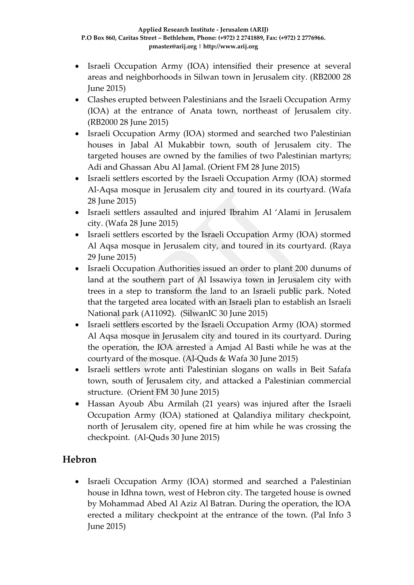- Israeli Occupation Army (IOA) intensified their presence at several areas and neighborhoods in Silwan town in Jerusalem city. (RB2000 28 June 2015)
- Clashes erupted between Palestinians and the Israeli Occupation Army (IOA) at the entrance of Anata town, northeast of Jerusalem city. (RB2000 28 June 2015)
- Israeli Occupation Army (IOA) stormed and searched two Palestinian houses in Jabal Al Mukabbir town, south of Jerusalem city. The targeted houses are owned by the families of two Palestinian martyrs; Adi and Ghassan Abu Al Jamal. (Orient FM 28 June 2015)
- Israeli settlers escorted by the Israeli Occupation Army (IOA) stormed Al-Aqsa mosque in Jerusalem city and toured in its courtyard. (Wafa 28 June 2015)
- Israeli settlers assaulted and injured Ibrahim Al 'Alami in Jerusalem city. (Wafa 28 June 2015)
- Israeli settlers escorted by the Israeli Occupation Army (IOA) stormed Al Aqsa mosque in Jerusalem city, and toured in its courtyard. (Raya 29 June 2015)
- Israeli Occupation Authorities issued an order to plant 200 dunums of land at the southern part of Al Issawiya town in Jerusalem city with trees in a step to transform the land to an Israeli public park. Noted that the targeted area located with an Israeli plan to establish an Israeli National park (A11092). (SilwanIC 30 June 2015)
- Israeli settlers escorted by the Israeli Occupation Army (IOA) stormed Al Aqsa mosque in Jerusalem city and toured in its courtyard. During the operation, the IOA arrested a Amjad Al Basti while he was at the courtyard of the mosque. (Al-Quds & Wafa 30 June 2015)
- Israeli settlers wrote anti Palestinian slogans on walls in Beit Safafa town, south of Jerusalem city, and attacked a Palestinian commercial structure. (Orient FM 30 June 2015)
- Hassan Ayoub Abu Armilah (21 years) was injured after the Israeli Occupation Army (IOA) stationed at Qalandiya military checkpoint, north of Jerusalem city, opened fire at him while he was crossing the checkpoint. (Al-Quds 30 June 2015)

# **Hebron**

 Israeli Occupation Army (IOA) stormed and searched a Palestinian house in Idhna town, west of Hebron city. The targeted house is owned by Mohammad Abed Al Aziz Al Batran. During the operation, the IOA erected a military checkpoint at the entrance of the town. (Pal Info 3 June 2015)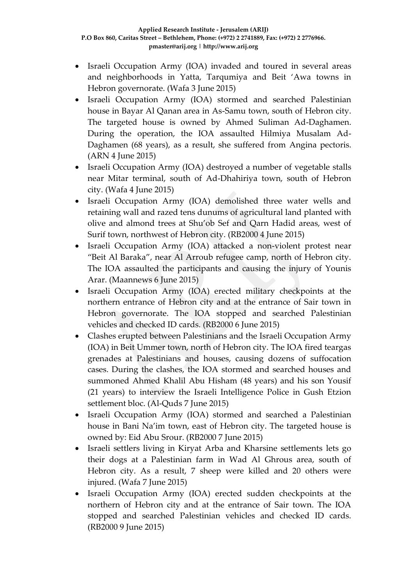- Israeli Occupation Army (IOA) invaded and toured in several areas and neighborhoods in Yatta, Tarqumiya and Beit 'Awa towns in Hebron governorate. (Wafa 3 June 2015)
- Israeli Occupation Army (IOA) stormed and searched Palestinian house in Bayar Al Qanan area in As-Samu town, south of Hebron city. The targeted house is owned by Ahmed Suliman Ad-Daghamen. During the operation, the IOA assaulted Hilmiya Musalam Ad-Daghamen (68 years), as a result, she suffered from Angina pectoris. (ARN 4 June 2015)
- Israeli Occupation Army (IOA) destroyed a number of vegetable stalls near Mitar terminal, south of Ad-Dhahiriya town, south of Hebron city. (Wafa 4 June 2015)
- Israeli Occupation Army (IOA) demolished three water wells and retaining wall and razed tens dunums of agricultural land planted with olive and almond trees at Shu'ob Sef and Qarn Hadid areas, west of Surif town, northwest of Hebron city. (RB2000 4 June 2015)
- Israeli Occupation Army (IOA) attacked a non-violent protest near "Beit Al Baraka", near Al Arroub refugee camp, north of Hebron city. The IOA assaulted the participants and causing the injury of Younis Arar. (Maannews 6 June 2015)
- Israeli Occupation Army (IOA) erected military checkpoints at the northern entrance of Hebron city and at the entrance of Sair town in Hebron governorate. The IOA stopped and searched Palestinian vehicles and checked ID cards. (RB2000 6 June 2015)
- Clashes erupted between Palestinians and the Israeli Occupation Army (IOA) in Beit Ummer town, north of Hebron city. The IOA fired teargas grenades at Palestinians and houses, causing dozens of suffocation cases. During the clashes, the IOA stormed and searched houses and summoned Ahmed Khalil Abu Hisham (48 years) and his son Yousif (21 years) to interview the Israeli Intelligence Police in Gush Etzion settlement bloc. (Al-Quds 7 June 2015)
- Israeli Occupation Army (IOA) stormed and searched a Palestinian house in Bani Na'im town, east of Hebron city. The targeted house is owned by: Eid Abu Srour. (RB2000 7 June 2015)
- Israeli settlers living in Kiryat Arba and Kharsine settlements lets go their dogs at a Palestinian farm in Wad Al Ghrous area, south of Hebron city. As a result, 7 sheep were killed and 20 others were injured. (Wafa 7 June 2015)
- Israeli Occupation Army (IOA) erected sudden checkpoints at the northern of Hebron city and at the entrance of Sair town. The IOA stopped and searched Palestinian vehicles and checked ID cards. (RB2000 9 June 2015)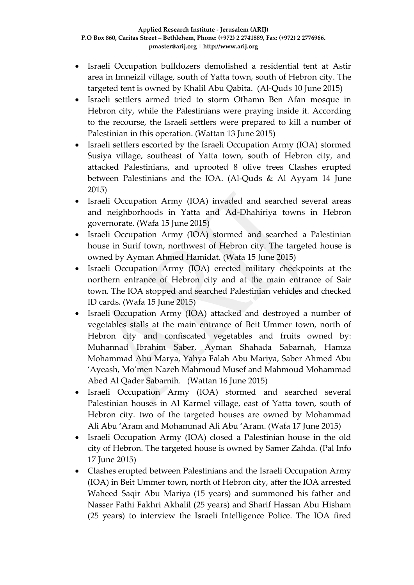- Israeli Occupation bulldozers demolished a residential tent at Astir area in Imneizil village, south of Yatta town, south of Hebron city. The targeted tent is owned by Khalil Abu Qabita. (Al-Quds 10 June 2015)
- Israeli settlers armed tried to storm Othamn Ben Afan mosque in Hebron city, while the Palestinians were praying inside it. According to the recourse, the Israeli settlers were prepared to kill a number of Palestinian in this operation. (Wattan 13 June 2015)
- Israeli settlers escorted by the Israeli Occupation Army (IOA) stormed Susiya village, southeast of Yatta town, south of Hebron city, and attacked Palestinians, and uprooted 8 olive trees Clashes erupted between Palestinians and the IOA. (Al-Quds & Al Ayyam 14 June 2015)
- Israeli Occupation Army (IOA) invaded and searched several areas and neighborhoods in Yatta and Ad-Dhahiriya towns in Hebron governorate. (Wafa 15 June 2015)
- Israeli Occupation Army (IOA) stormed and searched a Palestinian house in Surif town, northwest of Hebron city. The targeted house is owned by Ayman Ahmed Hamidat. (Wafa 15 June 2015)
- Israeli Occupation Army (IOA) erected military checkpoints at the northern entrance of Hebron city and at the main entrance of Sair town. The IOA stopped and searched Palestinian vehicles and checked ID cards. (Wafa 15 June 2015)
- Israeli Occupation Army (IOA) attacked and destroyed a number of vegetables stalls at the main entrance of Beit Ummer town, north of Hebron city and confiscated vegetables and fruits owned by: Muhannad Ibrahim Saber, Ayman Shahada Sabarnah, Hamza Mohammad Abu Marya, Yahya Falah Abu Mariya, Saber Ahmed Abu 'Ayeash, Mo'men Nazeh Mahmoud Musef and Mahmoud Mohammad Abed Al Qader Sabarnih. (Wattan 16 June 2015)
- Israeli Occupation Army (IOA) stormed and searched several Palestinian houses in Al Karmel village, east of Yatta town, south of Hebron city. two of the targeted houses are owned by Mohammad Ali Abu 'Aram and Mohammad Ali Abu 'Aram. (Wafa 17 June 2015)
- Israeli Occupation Army (IOA) closed a Palestinian house in the old city of Hebron. The targeted house is owned by Samer Zahda. (Pal Info 17 June 2015)
- Clashes erupted between Palestinians and the Israeli Occupation Army (IOA) in Beit Ummer town, north of Hebron city, after the IOA arrested Waheed Saqir Abu Mariya (15 years) and summoned his father and Nasser Fathi Fakhri Akhalil (25 years) and Sharif Hassan Abu Hisham (25 years) to interview the Israeli Intelligence Police. The IOA fired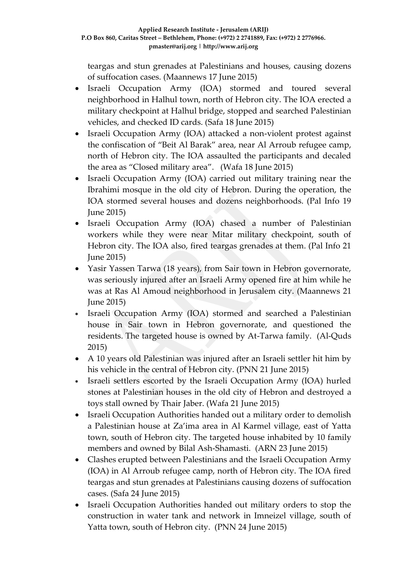teargas and stun grenades at Palestinians and houses, causing dozens of suffocation cases. (Maannews 17 June 2015)

- Israeli Occupation Army (IOA) stormed and toured several neighborhood in Halhul town, north of Hebron city. The IOA erected a military checkpoint at Halhul bridge, stopped and searched Palestinian vehicles, and checked ID cards. (Safa 18 June 2015)
- Israeli Occupation Army (IOA) attacked a non-violent protest against the confiscation of "Beit Al Barak" area, near Al Arroub refugee camp, north of Hebron city. The IOA assaulted the participants and decaled the area as "Closed military area". (Wafa 18 June 2015)
- Israeli Occupation Army (IOA) carried out military training near the Ibrahimi mosque in the old city of Hebron. During the operation, the IOA stormed several houses and dozens neighborhoods. (Pal Info 19 June 2015)
- Israeli Occupation Army (IOA) chased a number of Palestinian workers while they were near Mitar military checkpoint, south of Hebron city. The IOA also, fired teargas grenades at them. (Pal Info 21 June 2015)
- Yasir Yassen Tarwa (18 years), from Sair town in Hebron governorate, was seriously injured after an Israeli Army opened fire at him while he was at Ras Al Amoud neighborhood in Jerusalem city. (Maannews 21 June 2015)
- Israeli Occupation Army (IOA) stormed and searched a Palestinian house in Sair town in Hebron governorate, and questioned the residents. The targeted house is owned by At-Tarwa family. (Al-Quds 2015)
- A 10 years old Palestinian was injured after an Israeli settler hit him by his vehicle in the central of Hebron city. (PNN 21 June 2015)
- Israeli settlers escorted by the Israeli Occupation Army (IOA) hurled stones at Palestinian houses in the old city of Hebron and destroyed a toys stall owned by Thair Jaber. (Wafa 21 June 2015)
- Israeli Occupation Authorities handed out a military order to demolish a Palestinian house at Za'ima area in Al Karmel village, east of Yatta town, south of Hebron city. The targeted house inhabited by 10 family members and owned by Bilal Ash-Shamasti. (ARN 23 June 2015)
- Clashes erupted between Palestinians and the Israeli Occupation Army (IOA) in Al Arroub refugee camp, north of Hebron city. The IOA fired teargas and stun grenades at Palestinians causing dozens of suffocation cases. (Safa 24 June 2015)
- Israeli Occupation Authorities handed out military orders to stop the construction in water tank and network in Imneizel village, south of Yatta town, south of Hebron city. (PNN 24 June 2015)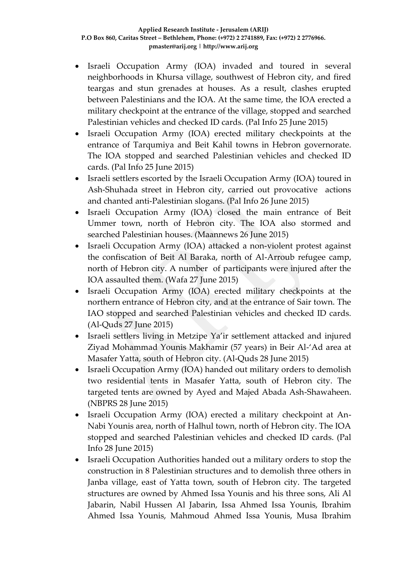- Israeli Occupation Army (IOA) invaded and toured in several neighborhoods in Khursa village, southwest of Hebron city, and fired teargas and stun grenades at houses. As a result, clashes erupted between Palestinians and the IOA. At the same time, the IOA erected a military checkpoint at the entrance of the village, stopped and searched Palestinian vehicles and checked ID cards. (Pal Info 25 June 2015)
- Israeli Occupation Army (IOA) erected military checkpoints at the entrance of Tarqumiya and Beit Kahil towns in Hebron governorate. The IOA stopped and searched Palestinian vehicles and checked ID cards. (Pal Info 25 June 2015)
- Israeli settlers escorted by the Israeli Occupation Army (IOA) toured in Ash-Shuhada street in Hebron city, carried out provocative actions and chanted anti-Palestinian slogans. (Pal Info 26 June 2015)
- Israeli Occupation Army (IOA) closed the main entrance of Beit Ummer town, north of Hebron city. The IOA also stormed and searched Palestinian houses. (Maannews 26 June 2015)
- Israeli Occupation Army (IOA) attacked a non-violent protest against the confiscation of Beit Al Baraka, north of Al-Arroub refugee camp, north of Hebron city. A number of participants were injured after the IOA assaulted them. (Wafa 27 June 2015)
- Israeli Occupation Army (IOA) erected military checkpoints at the northern entrance of Hebron city, and at the entrance of Sair town. The IAO stopped and searched Palestinian vehicles and checked ID cards. (Al-Quds 27 June 2015)
- Israeli settlers living in Metzipe Ya'ir settlement attacked and injured Ziyad Mohammad Younis Makhamir (57 years) in Beir Al-'Ad area at Masafer Yatta, south of Hebron city. (Al-Quds 28 June 2015)
- Israeli Occupation Army (IOA) handed out military orders to demolish two residential tents in Masafer Yatta, south of Hebron city. The targeted tents are owned by Ayed and Majed Abada Ash-Shawaheen. (NBPRS 28 June 2015)
- Israeli Occupation Army (IOA) erected a military checkpoint at An-Nabi Younis area, north of Halhul town, north of Hebron city. The IOA stopped and searched Palestinian vehicles and checked ID cards. (Pal Info 28 June 2015)
- Israeli Occupation Authorities handed out a military orders to stop the construction in 8 Palestinian structures and to demolish three others in Janba village, east of Yatta town, south of Hebron city. The targeted structures are owned by Ahmed Issa Younis and his three sons, Ali Al Jabarin, Nabil Hussen Al Jabarin, Issa Ahmed Issa Younis, Ibrahim Ahmed Issa Younis, Mahmoud Ahmed Issa Younis, Musa Ibrahim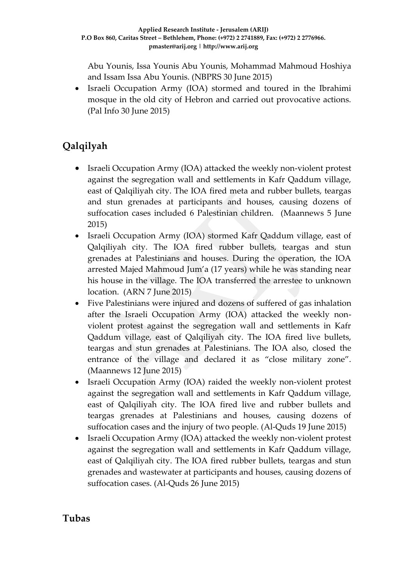Abu Younis, Issa Younis Abu Younis, Mohammad Mahmoud Hoshiya and Issam Issa Abu Younis. (NBPRS 30 June 2015)

 Israeli Occupation Army (IOA) stormed and toured in the Ibrahimi mosque in the old city of Hebron and carried out provocative actions. (Pal Info 30 June 2015)

# **Qalqilyah**

- Israeli Occupation Army (IOA) attacked the weekly non-violent protest against the segregation wall and settlements in Kafr Qaddum village, east of Qalqiliyah city. The IOA fired meta and rubber bullets, teargas and stun grenades at participants and houses, causing dozens of suffocation cases included 6 Palestinian children. (Maannews 5 June 2015)
- Israeli Occupation Army (IOA) stormed Kafr Qaddum village, east of Qalqiliyah city. The IOA fired rubber bullets, teargas and stun grenades at Palestinians and houses. During the operation, the IOA arrested Majed Mahmoud Jum'a (17 years) while he was standing near his house in the village. The IOA transferred the arrestee to unknown location. (ARN 7 June 2015)
- Five Palestinians were injured and dozens of suffered of gas inhalation after the Israeli Occupation Army (IOA) attacked the weekly nonviolent protest against the segregation wall and settlements in Kafr Qaddum village, east of Qalqiliyah city. The IOA fired live bullets, teargas and stun grenades at Palestinians. The IOA also, closed the entrance of the village and declared it as "close military zone". (Maannews 12 June 2015)
- Israeli Occupation Army (IOA) raided the weekly non-violent protest against the segregation wall and settlements in Kafr Qaddum village, east of Qalqiliyah city. The IOA fired live and rubber bullets and teargas grenades at Palestinians and houses, causing dozens of suffocation cases and the injury of two people. (Al-Quds 19 June 2015)
- Israeli Occupation Army (IOA) attacked the weekly non-violent protest against the segregation wall and settlements in Kafr Qaddum village, east of Qalqiliyah city. The IOA fired rubber bullets, teargas and stun grenades and wastewater at participants and houses, causing dozens of suffocation cases. (Al-Quds 26 June 2015)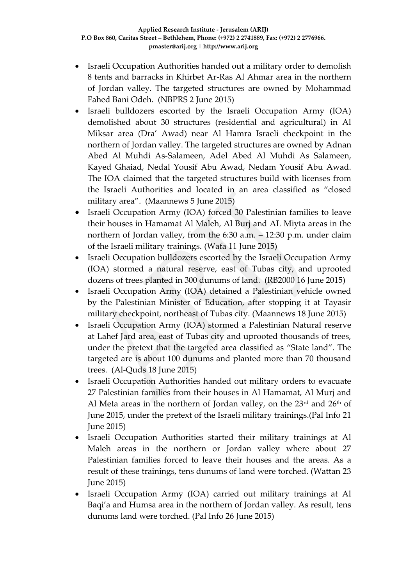- Israeli Occupation Authorities handed out a military order to demolish 8 tents and barracks in Khirbet Ar-Ras Al Ahmar area in the northern of Jordan valley. The targeted structures are owned by Mohammad Fahed Bani Odeh. (NBPRS 2 June 2015)
- Israeli bulldozers escorted by the Israeli Occupation Army (IOA) demolished about 30 structures (residential and agricultural) in Al Miksar area (Dra' Awad) near Al Hamra Israeli checkpoint in the northern of Jordan valley. The targeted structures are owned by Adnan Abed Al Muhdi As-Salameen, Adel Abed Al Muhdi As Salameen, Kayed Ghaiad, Nedal Yousif Abu Awad, Nedam Yousif Abu Awad. The IOA claimed that the targeted structures build with licenses from the Israeli Authorities and located in an area classified as "closed military area". (Maannews 5 June 2015)
- Israeli Occupation Army (IOA) forced 30 Palestinian families to leave their houses in Hamamat Al Maleh, Al Burj and AL Miyta areas in the northern of Jordan valley, from the 6:30 a.m. – 12:30 p.m. under claim of the Israeli military trainings. (Wafa 11 June 2015)
- Israeli Occupation bulldozers escorted by the Israeli Occupation Army (IOA) stormed a natural reserve, east of Tubas city, and uprooted dozens of trees planted in 300 dunums of land. (RB2000 16 June 2015)
- Israeli Occupation Army (IOA) detained a Palestinian vehicle owned by the Palestinian Minister of Education, after stopping it at Tayasir military checkpoint, northeast of Tubas city. (Maannews 18 June 2015)
- Israeli Occupation Army (IOA) stormed a Palestinian Natural reserve at Lahef Jard area, east of Tubas city and uprooted thousands of trees, under the pretext that the targeted area classified as "State land". The targeted are is about 100 dunums and planted more than 70 thousand trees. (Al-Quds 18 June 2015)
- Israeli Occupation Authorities handed out military orders to evacuate 27 Palestinian families from their houses in Al Hamamat, Al Murj and Al Meta areas in the northern of Jordan valley, on the  $23<sup>rd</sup>$  and  $26<sup>th</sup>$  of June 2015, under the pretext of the Israeli military trainings.(Pal Info 21 June 2015)
- Israeli Occupation Authorities started their military trainings at Al Maleh areas in the northern or Jordan valley where about 27 Palestinian families forced to leave their houses and the areas. As a result of these trainings, tens dunums of land were torched. (Wattan 23 June 2015)
- Israeli Occupation Army (IOA) carried out military trainings at Al Baqi'a and Humsa area in the northern of Jordan valley. As result, tens dunums land were torched. (Pal Info 26 June 2015)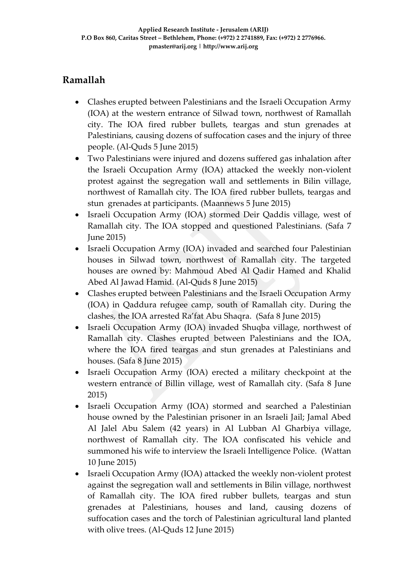# **Ramallah**

- Clashes erupted between Palestinians and the Israeli Occupation Army (IOA) at the western entrance of Silwad town, northwest of Ramallah city. The IOA fired rubber bullets, teargas and stun grenades at Palestinians, causing dozens of suffocation cases and the injury of three people. (Al-Quds 5 June 2015)
- Two Palestinians were injured and dozens suffered gas inhalation after the Israeli Occupation Army (IOA) attacked the weekly non-violent protest against the segregation wall and settlements in Bilin village, northwest of Ramallah city. The IOA fired rubber bullets, teargas and stun grenades at participants. (Maannews 5 June 2015)
- Israeli Occupation Army (IOA) stormed Deir Qaddis village, west of Ramallah city. The IOA stopped and questioned Palestinians. (Safa 7 June 2015)
- Israeli Occupation Army (IOA) invaded and searched four Palestinian houses in Silwad town, northwest of Ramallah city. The targeted houses are owned by: Mahmoud Abed Al Qadir Hamed and Khalid Abed Al Jawad Hamid. (Al-Quds 8 June 2015)
- Clashes erupted between Palestinians and the Israeli Occupation Army (IOA) in Qaddura refugee camp, south of Ramallah city. During the clashes, the IOA arrested Ra'fat Abu Shaqra. (Safa 8 June 2015)
- Israeli Occupation Army (IOA) invaded Shuqba village, northwest of Ramallah city. Clashes erupted between Palestinians and the IOA, where the IOA fired teargas and stun grenades at Palestinians and houses. (Safa 8 June 2015)
- Israeli Occupation Army (IOA) erected a military checkpoint at the western entrance of Billin village, west of Ramallah city. (Safa 8 June 2015)
- Israeli Occupation Army (IOA) stormed and searched a Palestinian house owned by the Palestinian prisoner in an Israeli Jail; Jamal Abed Al Jalel Abu Salem (42 years) in Al Lubban Al Gharbiya village, northwest of Ramallah city. The IOA confiscated his vehicle and summoned his wife to interview the Israeli Intelligence Police. (Wattan 10 June 2015)
- Israeli Occupation Army (IOA) attacked the weekly non-violent protest against the segregation wall and settlements in Bilin village, northwest of Ramallah city. The IOA fired rubber bullets, teargas and stun grenades at Palestinians, houses and land, causing dozens of suffocation cases and the torch of Palestinian agricultural land planted with olive trees. (Al-Quds 12 June 2015)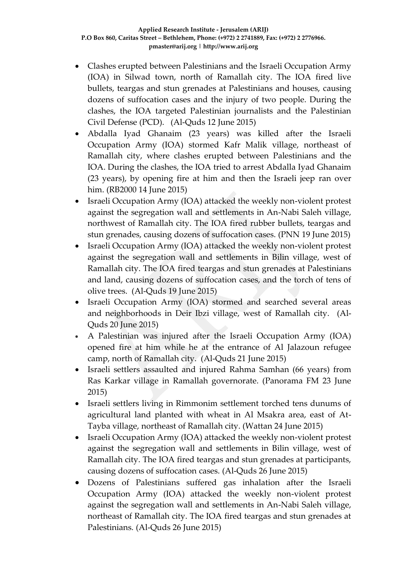- Clashes erupted between Palestinians and the Israeli Occupation Army (IOA) in Silwad town, north of Ramallah city. The IOA fired live bullets, teargas and stun grenades at Palestinians and houses, causing dozens of suffocation cases and the injury of two people. During the clashes, the IOA targeted Palestinian journalists and the Palestinian Civil Defense (PCD). (Al-Quds 12 June 2015)
- Abdalla Iyad Ghanaim (23 years) was killed after the Israeli Occupation Army (IOA) stormed Kafr Malik village, northeast of Ramallah city, where clashes erupted between Palestinians and the IOA. During the clashes, the IOA tried to arrest Abdalla Iyad Ghanaim (23 years), by opening fire at him and then the Israeli jeep ran over him. (RB2000 14 June 2015)
- Israeli Occupation Army (IOA) attacked the weekly non-violent protest against the segregation wall and settlements in An-Nabi Saleh village, northwest of Ramallah city. The IOA fired rubber bullets, teargas and stun grenades, causing dozens of suffocation cases. (PNN 19 June 2015)
- Israeli Occupation Army (IOA) attacked the weekly non-violent protest against the segregation wall and settlements in Bilin village, west of Ramallah city. The IOA fired teargas and stun grenades at Palestinians and land, causing dozens of suffocation cases, and the torch of tens of olive trees. (Al-Quds 19 June 2015)
- Israeli Occupation Army (IOA) stormed and searched several areas and neighborhoods in Deir Ibzi village, west of Ramallah city. (Al-Quds 20 June 2015)
- A Palestinian was injured after the Israeli Occupation Army (IOA) opened fire at him while he at the entrance of Al Jalazoun refugee camp, north of Ramallah city. (Al-Quds 21 June 2015)
- Israeli settlers assaulted and injured Rahma Samhan (66 years) from Ras Karkar village in Ramallah governorate. (Panorama FM 23 June 2015)
- Israeli settlers living in Rimmonim settlement torched tens dunums of agricultural land planted with wheat in Al Msakra area, east of At-Tayba village, northeast of Ramallah city. (Wattan 24 June 2015)
- Israeli Occupation Army (IOA) attacked the weekly non-violent protest against the segregation wall and settlements in Bilin village, west of Ramallah city. The IOA fired teargas and stun grenades at participants, causing dozens of suffocation cases. (Al-Quds 26 June 2015)
- Dozens of Palestinians suffered gas inhalation after the Israeli Occupation Army (IOA) attacked the weekly non-violent protest against the segregation wall and settlements in An-Nabi Saleh village, northeast of Ramallah city. The IOA fired teargas and stun grenades at Palestinians. (Al-Quds 26 June 2015)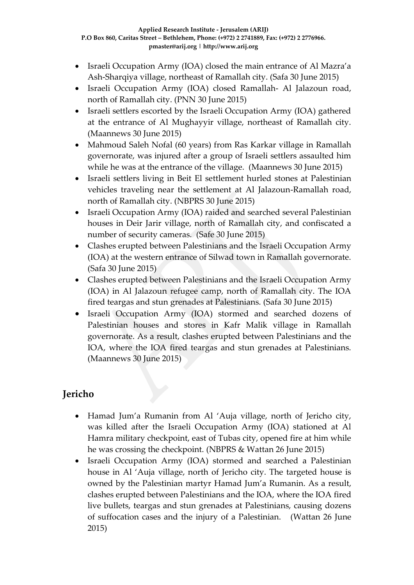- Israeli Occupation Army (IOA) closed the main entrance of Al Mazra'a Ash-Sharqiya village, northeast of Ramallah city. (Safa 30 June 2015)
- Israeli Occupation Army (IOA) closed Ramallah- Al Jalazoun road, north of Ramallah city. (PNN 30 June 2015)
- Israeli settlers escorted by the Israeli Occupation Army (IOA) gathered at the entrance of Al Mughayyir village, northeast of Ramallah city. (Maannews 30 June 2015)
- Mahmoud Saleh Nofal (60 years) from Ras Karkar village in Ramallah governorate, was injured after a group of Israeli settlers assaulted him while he was at the entrance of the village. (Maannews 30 June 2015)
- Israeli settlers living in Beit El settlement hurled stones at Palestinian vehicles traveling near the settlement at Al Jalazoun-Ramallah road, north of Ramallah city. (NBPRS 30 June 2015)
- Israeli Occupation Army (IOA) raided and searched several Palestinian houses in Deir Jarir village, north of Ramallah city, and confiscated a number of security cameras. (Safe 30 June 2015)
- Clashes erupted between Palestinians and the Israeli Occupation Army (IOA) at the western entrance of Silwad town in Ramallah governorate. (Safa 30 June 2015)
- Clashes erupted between Palestinians and the Israeli Occupation Army (IOA) in Al Jalazoun refugee camp, north of Ramallah city. The IOA fired teargas and stun grenades at Palestinians. (Safa 30 June 2015)
- Israeli Occupation Army (IOA) stormed and searched dozens of Palestinian houses and stores in Kafr Malik village in Ramallah governorate. As a result, clashes erupted between Palestinians and the IOA, where the IOA fired teargas and stun grenades at Palestinians. (Maannews 30 June 2015)

# **Jericho**

- Hamad Jum'a Rumanin from Al 'Auja village, north of Jericho city, was killed after the Israeli Occupation Army (IOA) stationed at Al Hamra military checkpoint, east of Tubas city, opened fire at him while he was crossing the checkpoint. (NBPRS & Wattan 26 June 2015)
- Israeli Occupation Army (IOA) stormed and searched a Palestinian house in Al 'Auja village, north of Jericho city. The targeted house is owned by the Palestinian martyr Hamad Jum'a Rumanin. As a result, clashes erupted between Palestinians and the IOA, where the IOA fired live bullets, teargas and stun grenades at Palestinians, causing dozens of suffocation cases and the injury of a Palestinian. (Wattan 26 June 2015)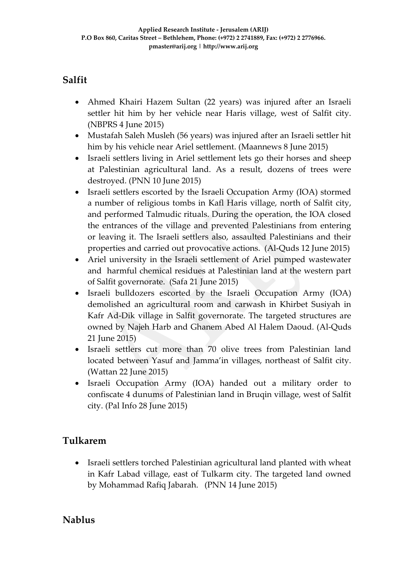# **Salfit**

- Ahmed Khairi Hazem Sultan (22 years) was injured after an Israeli settler hit him by her vehicle near Haris village, west of Salfit city. (NBPRS 4 June 2015)
- Mustafah Saleh Musleh (56 years) was injured after an Israeli settler hit him by his vehicle near Ariel settlement. (Maannews 8 June 2015)
- Israeli settlers living in Ariel settlement lets go their horses and sheep at Palestinian agricultural land. As a result, dozens of trees were destroyed. (PNN 10 June 2015)
- Israeli settlers escorted by the Israeli Occupation Army (IOA) stormed a number of religious tombs in Kafl Haris village, north of Salfit city, and performed Talmudic rituals. During the operation, the IOA closed the entrances of the village and prevented Palestinians from entering or leaving it. The Israeli settlers also, assaulted Palestinians and their properties and carried out provocative actions. (Al-Quds 12 June 2015)
- Ariel university in the Israeli settlement of Ariel pumped wastewater and harmful chemical residues at Palestinian land at the western part of Salfit governorate. (Safa 21 June 2015)
- Israeli bulldozers escorted by the Israeli Occupation Army (IOA) demolished an agricultural room and carwash in Khirbet Susiyah in Kafr Ad-Dik village in Salfit governorate. The targeted structures are owned by Najeh Harb and Ghanem Abed Al Halem Daoud. (Al-Quds 21 June 2015)
- Israeli settlers cut more than 70 olive trees from Palestinian land located between Yasuf and Jamma'in villages, northeast of Salfit city. (Wattan 22 June 2015)
- Israeli Occupation Army (IOA) handed out a military order to confiscate 4 dunums of Palestinian land in Bruqin village, west of Salfit city. (Pal Info 28 June 2015)

# **Tulkarem**

 Israeli settlers torched Palestinian agricultural land planted with wheat in Kafr Labad village, east of Tulkarm city. The targeted land owned by Mohammad Rafiq Jabarah. (PNN 14 June 2015)

## **Nablus**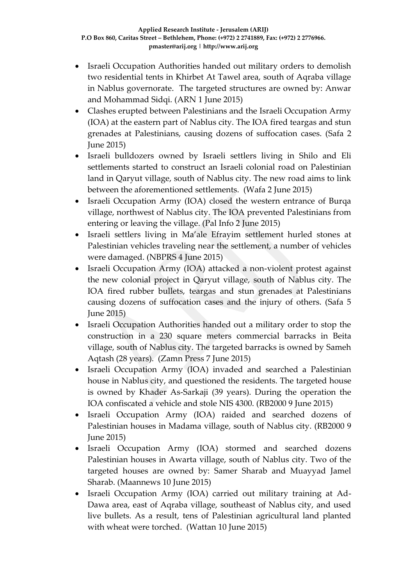- Israeli Occupation Authorities handed out military orders to demolish two residential tents in Khirbet At Tawel area, south of Aqraba village in Nablus governorate. The targeted structures are owned by: Anwar and Mohammad Sidqi. (ARN 1 June 2015)
- Clashes erupted between Palestinians and the Israeli Occupation Army (IOA) at the eastern part of Nablus city. The IOA fired teargas and stun grenades at Palestinians, causing dozens of suffocation cases. (Safa 2 June 2015)
- Israeli bulldozers owned by Israeli settlers living in Shilo and Eli settlements started to construct an Israeli colonial road on Palestinian land in Qaryut village, south of Nablus city. The new road aims to link between the aforementioned settlements. (Wafa 2 June 2015)
- Israeli Occupation Army (IOA) closed the western entrance of Burqa village, northwest of Nablus city. The IOA prevented Palestinians from entering or leaving the village. (Pal Info 2 June 2015)
- Israeli settlers living in Ma'ale Efrayim settlement hurled stones at Palestinian vehicles traveling near the settlement, a number of vehicles were damaged. (NBPRS 4 June 2015)
- Israeli Occupation Army (IOA) attacked a non-violent protest against the new colonial project in Qaryut village, south of Nablus city. The IOA fired rubber bullets, teargas and stun grenades at Palestinians causing dozens of suffocation cases and the injury of others. (Safa 5 June 2015)
- Israeli Occupation Authorities handed out a military order to stop the construction in a 230 square meters commercial barracks in Beita village, south of Nablus city. The targeted barracks is owned by Sameh Aqtash (28 years). (Zamn Press 7 June 2015)
- Israeli Occupation Army (IOA) invaded and searched a Palestinian house in Nablus city, and questioned the residents. The targeted house is owned by Khader As-Sarkaji (39 years). During the operation the IOA confiscated a vehicle and stole NIS 4300. (RB2000 9 June 2015)
- Israeli Occupation Army (IOA) raided and searched dozens of Palestinian houses in Madama village, south of Nablus city. (RB2000 9 June 2015)
- Israeli Occupation Army (IOA) stormed and searched dozens Palestinian houses in Awarta village, south of Nablus city. Two of the targeted houses are owned by: Samer Sharab and Muayyad Jamel Sharab. (Maannews 10 June 2015)
- Israeli Occupation Army (IOA) carried out military training at Ad-Dawa area, east of Aqraba village, southeast of Nablus city, and used live bullets. As a result, tens of Palestinian agricultural land planted with wheat were torched. (Wattan 10 June 2015)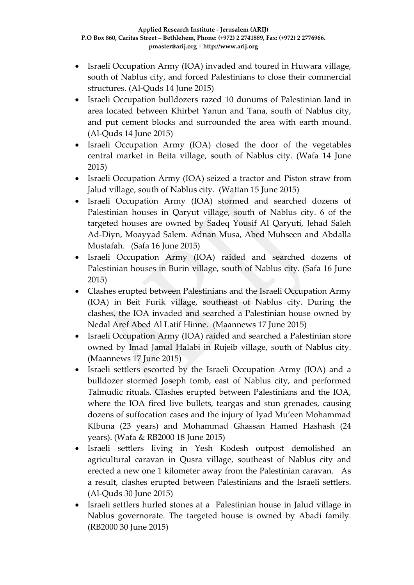- Israeli Occupation Army (IOA) invaded and toured in Huwara village, south of Nablus city, and forced Palestinians to close their commercial structures. (Al-Quds 14 June 2015)
- Israeli Occupation bulldozers razed 10 dunums of Palestinian land in area located between Khirbet Yanun and Tana, south of Nablus city, and put cement blocks and surrounded the area with earth mound. (Al-Quds 14 June 2015)
- Israeli Occupation Army (IOA) closed the door of the vegetables central market in Beita village, south of Nablus city. (Wafa 14 June 2015)
- Israeli Occupation Army (IOA) seized a tractor and Piston straw from Jalud village, south of Nablus city. (Wattan 15 June 2015)
- Israeli Occupation Army (IOA) stormed and searched dozens of Palestinian houses in Qaryut village, south of Nablus city. 6 of the targeted houses are owned by Sadeq Yousif Al Qaryuti, Jehad Saleh Ad-Diyn, Moayyad Salem. Adnan Musa, Abed Muhseen and Abdalla Mustafah. (Safa 16 June 2015)
- Israeli Occupation Army (IOA) raided and searched dozens of Palestinian houses in Burin village, south of Nablus city. (Safa 16 June 2015)
- Clashes erupted between Palestinians and the Israeli Occupation Army (IOA) in Beit Furik village, southeast of Nablus city. During the clashes, the IOA invaded and searched a Palestinian house owned by Nedal Aref Abed Al Latif Hinne. (Maannews 17 June 2015)
- Israeli Occupation Army (IOA) raided and searched a Palestinian store owned by Imad Jamal Halabi in Rujeib village, south of Nablus city. (Maannews 17 June 2015)
- Israeli settlers escorted by the Israeli Occupation Army (IOA) and a bulldozer stormed Joseph tomb, east of Nablus city, and performed Talmudic rituals. Clashes erupted between Palestinians and the IOA, where the IOA fired live bullets, teargas and stun grenades, causing dozens of suffocation cases and the injury of Iyad Mu'een Mohammad Klbuna (23 years) and Mohammad Ghassan Hamed Hashash (24 years). (Wafa & RB2000 18 June 2015)
- Israeli settlers living in Yesh Kodesh outpost demolished an agricultural caravan in Qusra village, southeast of Nablus city and erected a new one 1 kilometer away from the Palestinian caravan. As a result, clashes erupted between Palestinians and the Israeli settlers. (Al-Quds 30 June 2015)
- Israeli settlers hurled stones at a Palestinian house in Jalud village in Nablus governorate. The targeted house is owned by Abadi family. (RB2000 30 June 2015)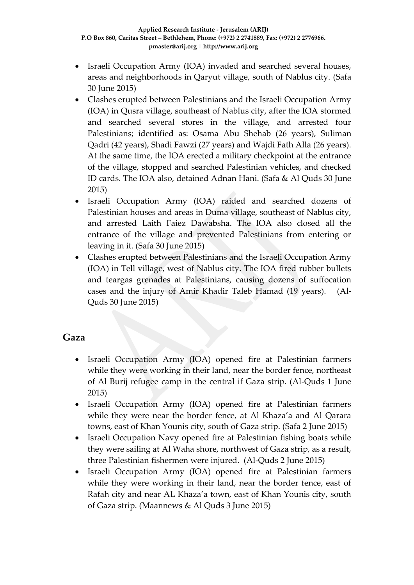- Israeli Occupation Army (IOA) invaded and searched several houses, areas and neighborhoods in Qaryut village, south of Nablus city. (Safa 30 June 2015)
- Clashes erupted between Palestinians and the Israeli Occupation Army (IOA) in Qusra village, southeast of Nablus city, after the IOA stormed and searched several stores in the village, and arrested four Palestinians; identified as: Osama Abu Shehab (26 years), Suliman Qadri (42 years), Shadi Fawzi (27 years) and Wajdi Fath Alla (26 years). At the same time, the IOA erected a military checkpoint at the entrance of the village, stopped and searched Palestinian vehicles, and checked ID cards. The IOA also, detained Adnan Hani. (Safa & Al Quds 30 June 2015)
- Israeli Occupation Army (IOA) raided and searched dozens of Palestinian houses and areas in Duma village, southeast of Nablus city, and arrested Laith Faiez Dawabsha. The IOA also closed all the entrance of the village and prevented Palestinians from entering or leaving in it. (Safa 30 June 2015)
- Clashes erupted between Palestinians and the Israeli Occupation Army (IOA) in Tell village, west of Nablus city. The IOA fired rubber bullets and teargas grenades at Palestinians, causing dozens of suffocation cases and the injury of Amir Khadir Taleb Hamad (19 years). (Al-Quds 30 June 2015)

### **Gaza**

- Israeli Occupation Army (IOA) opened fire at Palestinian farmers while they were working in their land, near the border fence, northeast of Al Burij refugee camp in the central if Gaza strip. (Al-Quds 1 June 2015)
- Israeli Occupation Army (IOA) opened fire at Palestinian farmers while they were near the border fence, at Al Khaza'a and Al Qarara towns, east of Khan Younis city, south of Gaza strip. (Safa 2 June 2015)
- Israeli Occupation Navy opened fire at Palestinian fishing boats while they were sailing at Al Waha shore, northwest of Gaza strip, as a result, three Palestinian fishermen were injured. (Al-Quds 2 June 2015)
- Israeli Occupation Army (IOA) opened fire at Palestinian farmers while they were working in their land, near the border fence, east of Rafah city and near AL Khaza'a town, east of Khan Younis city, south of Gaza strip. (Maannews & Al Quds 3 June 2015)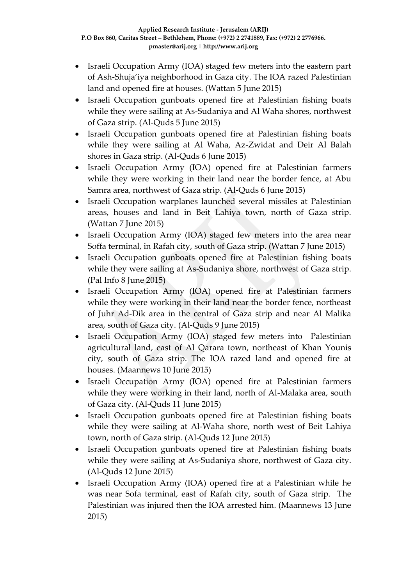- Israeli Occupation Army (IOA) staged few meters into the eastern part of Ash-Shuja'iya neighborhood in Gaza city. The IOA razed Palestinian land and opened fire at houses. (Wattan 5 June 2015)
- Israeli Occupation gunboats opened fire at Palestinian fishing boats while they were sailing at As-Sudaniya and Al Waha shores, northwest of Gaza strip. (Al-Quds 5 June 2015)
- Israeli Occupation gunboats opened fire at Palestinian fishing boats while they were sailing at Al Waha, Az-Zwidat and Deir Al Balah shores in Gaza strip. (Al-Quds 6 June 2015)
- Israeli Occupation Army (IOA) opened fire at Palestinian farmers while they were working in their land near the border fence, at Abu Samra area, northwest of Gaza strip. (Al-Quds 6 June 2015)
- Israeli Occupation warplanes launched several missiles at Palestinian areas, houses and land in Beit Lahiya town, north of Gaza strip. (Wattan 7 June 2015)
- Israeli Occupation Army (IOA) staged few meters into the area near Soffa terminal, in Rafah city, south of Gaza strip. (Wattan 7 June 2015)
- Israeli Occupation gunboats opened fire at Palestinian fishing boats while they were sailing at As-Sudaniya shore, northwest of Gaza strip. (Pal Info 8 June 2015)
- Israeli Occupation Army (IOA) opened fire at Palestinian farmers while they were working in their land near the border fence, northeast of Juhr Ad-Dik area in the central of Gaza strip and near Al Malika area, south of Gaza city. (Al-Quds 9 June 2015)
- Israeli Occupation Army (IOA) staged few meters into Palestinian agricultural land, east of Al Qarara town, northeast of Khan Younis city, south of Gaza strip. The IOA razed land and opened fire at houses. (Maannews 10 June 2015)
- Israeli Occupation Army (IOA) opened fire at Palestinian farmers while they were working in their land, north of Al-Malaka area, south of Gaza city. (Al-Quds 11 June 2015)
- Israeli Occupation gunboats opened fire at Palestinian fishing boats while they were sailing at Al-Waha shore, north west of Beit Lahiya town, north of Gaza strip. (Al-Quds 12 June 2015)
- Israeli Occupation gunboats opened fire at Palestinian fishing boats while they were sailing at As-Sudaniya shore, northwest of Gaza city. (Al-Quds 12 June 2015)
- Israeli Occupation Army (IOA) opened fire at a Palestinian while he was near Sofa terminal, east of Rafah city, south of Gaza strip. The Palestinian was injured then the IOA arrested him. (Maannews 13 June 2015)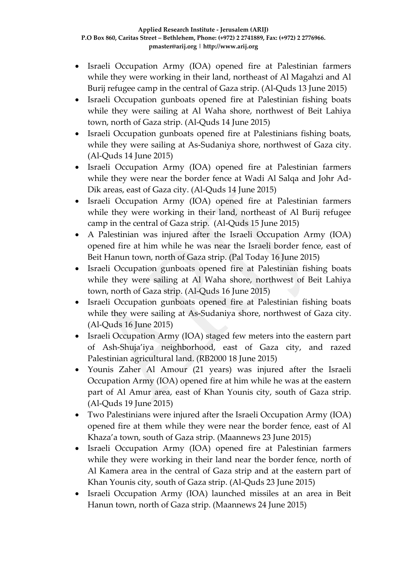- Israeli Occupation Army (IOA) opened fire at Palestinian farmers while they were working in their land, northeast of Al Magahzi and Al Burij refugee camp in the central of Gaza strip. (Al-Quds 13 June 2015)
- Israeli Occupation gunboats opened fire at Palestinian fishing boats while they were sailing at Al Waha shore, northwest of Beit Lahiya town, north of Gaza strip. (Al-Quds 14 June 2015)
- Israeli Occupation gunboats opened fire at Palestinians fishing boats, while they were sailing at As-Sudaniya shore, northwest of Gaza city. (Al-Quds 14 June 2015)
- Israeli Occupation Army (IOA) opened fire at Palestinian farmers while they were near the border fence at Wadi Al Salqa and Johr Ad-Dik areas, east of Gaza city. (Al-Quds 14 June 2015)
- Israeli Occupation Army (IOA) opened fire at Palestinian farmers while they were working in their land, northeast of Al Burij refugee camp in the central of Gaza strip. (Al-Quds 15 June 2015)
- A Palestinian was injured after the Israeli Occupation Army (IOA) opened fire at him while he was near the Israeli border fence, east of Beit Hanun town, north of Gaza strip. (Pal Today 16 June 2015)
- Israeli Occupation gunboats opened fire at Palestinian fishing boats while they were sailing at Al Waha shore, northwest of Beit Lahiya town, north of Gaza strip. (Al-Quds 16 June 2015)
- Israeli Occupation gunboats opened fire at Palestinian fishing boats while they were sailing at As-Sudaniya shore, northwest of Gaza city. (Al-Quds 16 June 2015)
- Israeli Occupation Army (IOA) staged few meters into the eastern part of Ash-Shuja'iya neighborhood, east of Gaza city, and razed Palestinian agricultural land. (RB2000 18 June 2015)
- Younis Zaher Al Amour (21 years) was injured after the Israeli Occupation Army (IOA) opened fire at him while he was at the eastern part of Al Amur area, east of Khan Younis city, south of Gaza strip. (Al-Quds 19 June 2015)
- Two Palestinians were injured after the Israeli Occupation Army (IOA) opened fire at them while they were near the border fence, east of Al Khaza'a town, south of Gaza strip. (Maannews 23 June 2015)
- Israeli Occupation Army (IOA) opened fire at Palestinian farmers while they were working in their land near the border fence, north of Al Kamera area in the central of Gaza strip and at the eastern part of Khan Younis city, south of Gaza strip. (Al-Quds 23 June 2015)
- Israeli Occupation Army (IOA) launched missiles at an area in Beit Hanun town, north of Gaza strip. (Maannews 24 June 2015)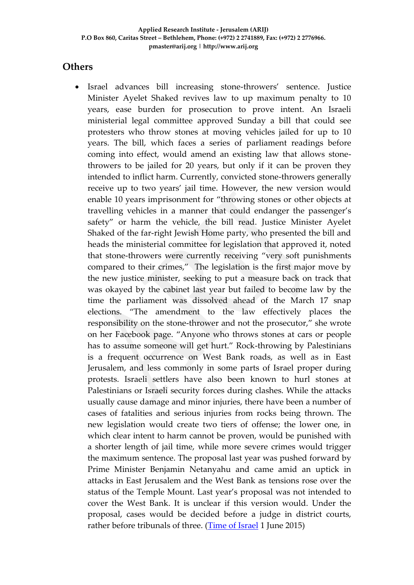### **Others**

 Israel advances bill increasing stone-throwers' sentence. Justice Minister Ayelet Shaked revives law to up maximum penalty to 10 years, ease burden for prosecution to prove intent. An Israeli ministerial legal committee approved Sunday a bill that could see protesters who throw stones at moving vehicles jailed for up to 10 years. The bill, which faces a series of parliament readings before coming into effect, would amend an existing law that allows stonethrowers to be jailed for 20 years, but only if it can be proven they intended to inflict harm. Currently, convicted stone-throwers generally receive up to two years' jail time. However, the new version would enable 10 years imprisonment for "throwing stones or other objects at travelling vehicles in a manner that could endanger the passenger's safety" or harm the vehicle, the bill read. Justice Minister Ayelet Shaked of the far-right Jewish Home party, who presented the bill and heads the ministerial committee for legislation that approved it, noted that stone-throwers were currently receiving "very soft punishments compared to their crimes," The legislation is the first major move by the new justice minister, seeking to put a measure back on track that was okayed by the cabinet last year but failed to become law by the time the parliament was dissolved ahead of the March 17 snap elections. "The amendment to the law effectively places the responsibility on the stone-thrower and not the prosecutor," she wrote on her Facebook page. "Anyone who throws stones at cars or people has to assume someone will get hurt." Rock-throwing by Palestinians is a frequent occurrence on West Bank roads, as well as in East Jerusalem, and less commonly in some parts of Israel proper during protests. Israeli settlers have also been known to hurl stones at Palestinians or Israeli security forces during clashes. While the attacks usually cause damage and minor injuries, there have been a number of cases of fatalities and serious injuries from rocks being thrown. The new legislation would create two tiers of offense; the lower one, in which clear intent to harm cannot be proven, would be punished with a shorter length of jail time, while more severe crimes would trigger the maximum sentence. The proposal last year was pushed forward by Prime Minister Benjamin Netanyahu and came amid an uptick in attacks in East Jerusalem and the West Bank as tensions rose over the status of the Temple Mount. Last year's proposal was not intended to cover the West Bank. It is unclear if this version would. Under the proposal, cases would be decided before a judge in district courts, rather before tribunals of three. [\(Time of Israel](http://www.timesofisrael.com/israel-advances-bill-increasing-stone-throwers-sentence/) 1 June 2015)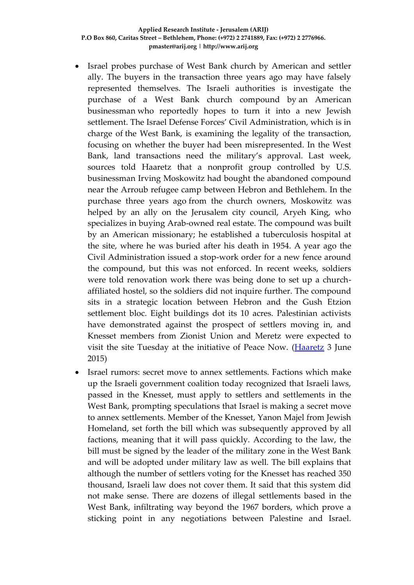- Israel probes purchase of West Bank church by American and settler ally. The buyers in the transaction three years ago may have falsely represented themselves. The Israeli authorities is investigate the purchase of a West Bank church compound by [an American](http://www.haaretz.com/news/israel/.premium-1.658344)  [businessman](http://www.haaretz.com/news/israel/.premium-1.658344) who reportedly hopes to turn it into a new Jewish settlement. The Israel Defense Forces' Civil Administration, which is in charge of the West Bank, is examining the legality of the transaction, focusing on whether the buyer had been misrepresented. In the West Bank, land transactions need the military's approval. Last week, sources told Haaretz that a nonprofit group controlled by U.S. businessman Irving Moskowitz had bought the abandoned compound near the Arroub refugee camp between Hebron and Bethlehem. In [the](http://www.haaretz.com/news/diplomacy-defense/.premium-1.657700)  [purchase three years ago](http://www.haaretz.com/news/diplomacy-defense/.premium-1.657700) from the church owners, Moskowitz was helped by an ally on the Jerusalem city council, Aryeh King, who specializes in buying Arab-owned real estate. The compound was built by an American missionary; he established a tuberculosis hospital at the site, where he was buried after his death in 1954. A year ago the Civil Administration issued a stop-work order for a new fence around the compound, but this was not enforced. In recent weeks, soldiers were told renovation work there was being done to set up a churchaffiliated hostel, so the soldiers did not inquire further. The compound sits in a strategic location between Hebron and the Gush Etzion settlement bloc. Eight buildings dot its 10 acres. Palestinian activists have demonstrated against the prospect of settlers moving in, and Knesset members from Zionist Union and Meretz were expected to visit the site Tuesday at the initiative of Peace Now. [\(Haaretz](http://www.haaretz.com/news/diplomacy-defense/.premium-1.659278) 3 June 2015)
- Israel rumors: secret move to annex settlements. Factions which make up the Israeli government coalition today recognized that Israeli laws, passed in the Knesset, must apply to settlers and settlements in the West Bank, prompting speculations that Israel is making a secret move to annex settlements. Member of the Knesset, Yanon Majel from Jewish Homeland, set forth the bill which was subsequently approved by all factions, meaning that it will pass quickly. According to the law, the bill must be signed by the leader of the military zone in the West Bank and will be adopted under military law as well. The bill explains that although the number of settlers voting for the Knesset has reached 350 thousand, Israeli law does not cover them. It said that this system did not make sense. There are dozens of illegal settlements based in the West Bank, infiltrating way beyond the 1967 borders, which prove a sticking point in any negotiations between Palestine and Israel.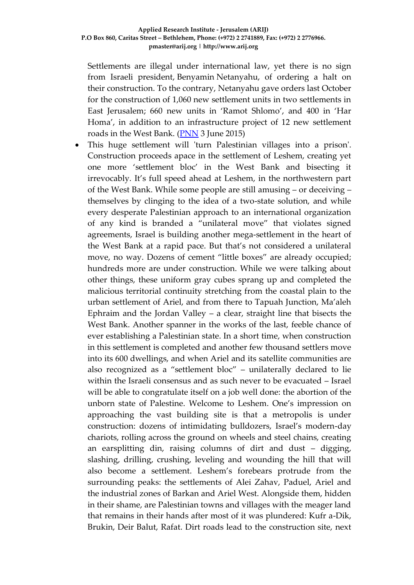Settlements are illegal under international law, yet there is no sign from Israeli president, Benyamin Netanyahu, of ordering a halt on their construction. To the contrary, Netanyahu gave orders last October for the construction of 1,060 new settlement units in two settlements in East Jerusalem; 660 new units in 'Ramot Shlomo', and 400 in 'Har Homa', in addition to an infrastructure project of 12 new settlement roads in the West Bank. [\(PNN](http://english.pnn.ps/2015/06/03/israel-rumors-secret-move-to-annex-settlements/) 3 June 2015)

 This huge settlement will 'turn Palestinian villages into a prison'. Construction proceeds apace in the settlement of Leshem, creating yet one more 'settlement bloc' in the West Bank and bisecting it irrevocably. It's full speed ahead at Leshem, in the northwestern part of the West Bank. While some people are still amusing – or deceiving – themselves by clinging to the idea of a two-state solution, and while every desperate Palestinian approach to an international organization of any kind is branded a "unilateral move" that violates signed agreements, Israel is building another mega-settlement in the heart of the West Bank at a rapid pace. But that's not considered a unilateral move, no way. Dozens of cement "little boxes" are already occupied; hundreds more are under construction. While we were talking about other things, these uniform gray cubes sprang up and completed the malicious territorial continuity stretching from the coastal plain to the urban settlement of Ariel, and from there to Tapuah Junction, Ma'aleh Ephraim and the Jordan Valley – a clear, straight line that bisects the West Bank. Another spanner in the works of the last, feeble chance of ever establishing a Palestinian state. In a short time, when construction in this settlement is completed and another few thousand settlers move into its 600 dwellings, and when Ariel and its satellite communities are also recognized as a "settlement bloc" – unilaterally declared to lie within the Israeli consensus and as such never to be evacuated – Israel will be able to congratulate itself on a job well done: the abortion of the unborn state of Palestine. Welcome to Leshem. One's impression on approaching the vast building site is that a metropolis is under construction: dozens of intimidating bulldozers, Israel's modern-day chariots, rolling across the ground on wheels and steel chains, creating an earsplitting din, raising columns of dirt and dust – digging, slashing, drilling, crushing, leveling and wounding the hill that will also become a settlement. Leshem's forebears protrude from the surrounding peaks: the settlements of Alei Zahav, Paduel, Ariel and the industrial zones of Barkan and Ariel West. Alongside them, hidden in their shame, are Palestinian towns and villages with the meager land that remains in their hands after most of it was plundered: Kufr a-Dik, Brukin, Deir Balut, Rafat. Dirt roads lead to the construction site, next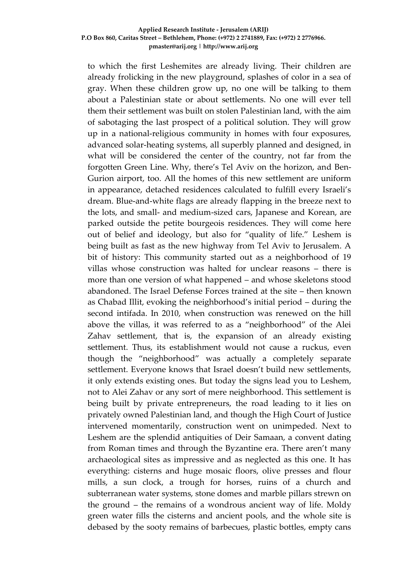to which the first Leshemites are already living. Their children are already frolicking in the new playground, splashes of color in a sea of gray. When these children grow up, no one will be talking to them about a Palestinian state or about settlements. No one will ever tell them their settlement was built on stolen Palestinian land, with the aim of sabotaging the last prospect of a political solution. They will grow up in a national-religious community in homes with four exposures, advanced solar-heating systems, all superbly planned and designed, in what will be considered the center of the country, not far from the forgotten Green Line. Why, there's Tel Aviv on the horizon, and Ben-Gurion airport, too. All the homes of this new settlement are uniform in appearance, detached residences calculated to fulfill every Israeli's dream. Blue-and-white flags are already flapping in the breeze next to the lots, and small- and medium-sized cars, Japanese and Korean, are parked outside the petite bourgeois residences. They will come here out of belief and ideology, but also for "quality of life." Leshem is being built as fast as the new highway from Tel Aviv to Jerusalem. A bit of history: This community started out as a neighborhood of 19 villas whose construction was halted for unclear reasons – there is more than one version of what happened – and whose skeletons stood abandoned. The Israel Defense Forces trained at the site – then known as Chabad Illit, evoking the neighborhood's initial period – during the second intifada. In 2010, when construction was renewed on the hill above the villas, it was referred to as a "neighborhood" of the Alei Zahav settlement, that is, the expansion of an already existing settlement. Thus, its establishment would not cause a ruckus, even though the "neighborhood" was actually a completely separate settlement. Everyone knows that Israel doesn't build new settlements, it only extends existing ones. But today the signs lead you to Leshem, not to Alei Zahav or any sort of mere neighborhood. This settlement is being built by private entrepreneurs, the road leading to it lies on privately owned Palestinian land, and though the High Court of Justice intervened momentarily, construction went on unimpeded. Next to Leshem are the splendid antiquities of Deir Samaan, a convent dating from Roman times and through the Byzantine era. There aren't many archaeological sites as impressive and as neglected as this one. It has everything: cisterns and huge mosaic floors, olive presses and flour mills, a sun clock, a trough for horses, ruins of a church and subterranean water systems, stone domes and marble pillars strewn on the ground – the remains of a wondrous ancient way of life. Moldy green water fills the cisterns and ancient pools, and the whole site is debased by the sooty remains of barbecues, plastic bottles, empty cans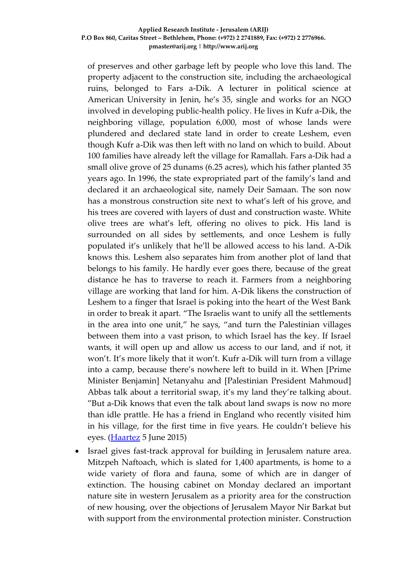of preserves and other garbage left by people who love this land. The property adjacent to the construction site, including the archaeological ruins, belonged to Fars a-Dik. A lecturer in political science at American University in Jenin, he's 35, single and works for an NGO involved in developing public-health policy. He lives in Kufr a-Dik, the neighboring village, population 6,000, most of whose lands were plundered and declared state land in order to create Leshem, even though Kufr a-Dik was then left with no land on which to build. About 100 families have already left the village for Ramallah. Fars a-Dik had a small olive grove of 25 dunams (6.25 acres), which his father planted 35 years ago. In 1996, the state expropriated part of the family's land and declared it an archaeological site, namely Deir Samaan. The son now has a monstrous construction site next to what's left of his grove, and his trees are covered with layers of dust and construction waste. White olive trees are what's left, offering no olives to pick. His land is surrounded on all sides by settlements, and once Leshem is fully populated it's unlikely that he'll be allowed access to his land. A-Dik knows this. Leshem also separates him from another plot of land that belongs to his family. He hardly ever goes there, because of the great distance he has to traverse to reach it. Farmers from a neighboring village are working that land for him. A-Dik likens the construction of Leshem to a finger that Israel is poking into the heart of the West Bank in order to break it apart. "The Israelis want to unify all the settlements in the area into one unit," he says, "and turn the Palestinian villages between them into a vast prison, to which Israel has the key. If Israel wants, it will open up and allow us access to our land, and if not, it won't. It's more likely that it won't. Kufr a-Dik will turn from a village into a camp, because there's nowhere left to build in it. When [Prime Minister Benjamin] Netanyahu and [Palestinian President Mahmoud] Abbas talk about a territorial swap, it's my land they're talking about. "But a-Dik knows that even the talk about land swaps is now no more than idle prattle. He has a friend in England who recently visited him in his village, for the first time in five years. He couldn't believe his eyes. [\(Haartez](http://www.haaretz.com/weekend/twilight-zone/.premium-1.659551) 5 June 2015)

 Israel gives fast-track approval for building in Jerusalem nature area. Mitzpeh Naftoach, which is slated for 1,400 apartments, is home to a wide variety of flora and fauna, some of which are in danger of extinction. The housing cabinet on Monday declared an important nature site in western Jerusalem as a priority area for the construction of new housing, over the objections of Jerusalem Mayor Nir Barkat but with support from the environmental protection minister. Construction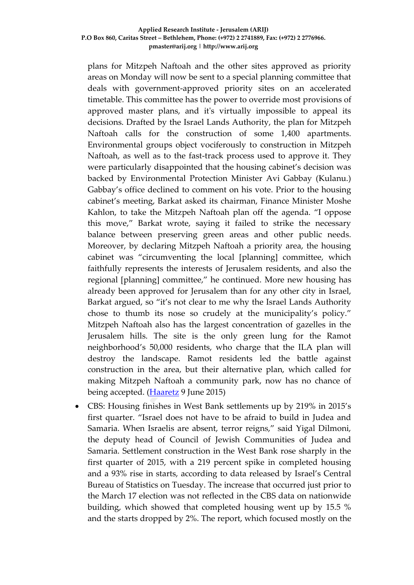plans for Mitzpeh Naftoah and the other sites approved as priority areas on Monday will now be sent to a special planning committee that deals with government-approved priority sites on an accelerated timetable. This committee has the power to override most provisions of approved master plans, and it's virtually impossible to appeal its decisions. Drafted by the Israel Lands Authority, the plan for Mitzpeh Naftoah calls for the construction of some 1,400 apartments. Environmental groups object vociferously to construction in Mitzpeh Naftoah, as well as to the fast-track process used to approve it. They were particularly disappointed that the housing cabinet's decision was backed by Environmental Protection Minister Avi Gabbay (Kulanu.) Gabbay's office declined to comment on his vote. Prior to the housing cabinet's meeting, Barkat asked its chairman, Finance Minister Moshe Kahlon, to take the Mitzpeh Naftoah plan off the agenda. "I oppose this move," Barkat wrote, saying it failed to strike the necessary balance between preserving green areas and other public needs. Moreover, by declaring Mitzpeh Naftoah a priority area, the housing cabinet was "circumventing the local [planning] committee, which faithfully represents the interests of Jerusalem residents, and also the regional [planning] committee," he continued. More new housing has already been approved for Jerusalem than for any other city in Israel, Barkat argued, so "it's not clear to me why the Israel Lands Authority chose to thumb its nose so crudely at the municipality's policy." Mitzpeh Naftoah also has the largest concentration of gazelles in the Jerusalem hills. The site is the only green lung for the Ramot neighborhood's 50,000 residents, who charge that the ILA plan will destroy the landscape. Ramot residents led the battle against construction in the area, but their alternative plan, which called for making Mitzpeh Naftoah a community park, now has no chance of being accepted. [\(Haaretz](http://www.haaretz.com/news/israel/.premium-1.660291) 9 June 2015)

 CBS: Housing finishes in West Bank settlements up by 219% in 2015's first quarter. "Israel does not have to be afraid to build in Judea and Samaria. When Israelis are absent, terror reigns," said Yigal Dilmoni, the deputy head of Council of Jewish Communities of Judea and Samaria. Settlement construction in the West Bank rose sharply in the first quarter of 2015, with a 219 percent spike in completed housing and a 93% rise in starts, according to data released by Israel's Central Bureau of Statistics on Tuesday. The increase that occurred just prior to the March 17 election was not reflected in the CBS data on nationwide building, which showed that completed housing went up by 15.5 % and the starts dropped by 2%. The report, which focused mostly on the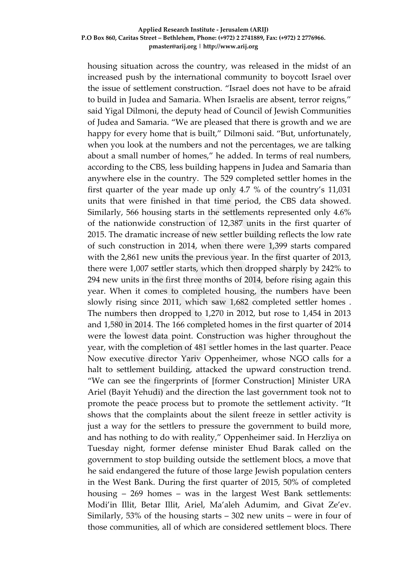housing situation across the country, was released in the midst of an increased push by the international community to boycott Israel over the issue of settlement construction. "Israel does not have to be afraid to build in Judea and Samaria. When Israelis are absent, terror reigns," said Yigal Dilmoni, the deputy head of Council of Jewish Communities of Judea and Samaria. "We are pleased that there is growth and we are happy for every home that is built," Dilmoni said. "But, unfortunately, when you look at the numbers and not the percentages, we are talking about a small number of homes," he added. In terms of real numbers, according to the CBS, less building happens in Judea and Samaria than anywhere else in the country. The 529 completed settler homes in the first quarter of the year made up only 4.7 % of the country's 11,031 units that were finished in that time period, the CBS data showed. Similarly, 566 housing starts in the settlements represented only 4.6% of the nationwide construction of 12,387 units in the first quarter of 2015. The dramatic increase of new settler building reflects the low rate of such construction in 2014, when there were 1,399 starts compared with the 2,861 new units the previous year. In the first quarter of 2013, there were 1,007 settler starts, which then dropped sharply by 242% to 294 new units in the first three months of 2014, before rising again this year. When it comes to completed housing, the numbers have been slowly rising since 2011, which saw 1,682 completed settler homes . The numbers then dropped to 1,270 in 2012, but rose to 1,454 in 2013 and 1,580 in 2014. The 166 completed homes in the first quarter of 2014 were the lowest data point. Construction was higher throughout the year, with the completion of 481 settler homes in the last quarter. Peace Now executive director Yariv Oppenheimer, whose NGO calls for a halt to settlement building, attacked the upward construction trend. "We can see the fingerprints of [former Construction] Minister URA Ariel (Bayit Yehudi) and the direction the last government took not to promote the peace process but to promote the settlement activity. "It shows that the complaints about the silent freeze in settler activity is just a way for the settlers to pressure the government to build more, and has nothing to do with reality," Oppenheimer said. In Herzliya on Tuesday night, former defense minister Ehud Barak called on the government to stop building outside the settlement blocs, a move that he said endangered the future of those large Jewish population centers in the West Bank. During the first quarter of 2015, 50% of completed housing – 269 homes – was in the largest West Bank settlements: Modi'in Illit, Betar Illit, Ariel, Ma'aleh Adumim, and Givat Ze'ev. Similarly, 53% of the housing starts – 302 new units – were in four of those communities, all of which are considered settlement blocs. There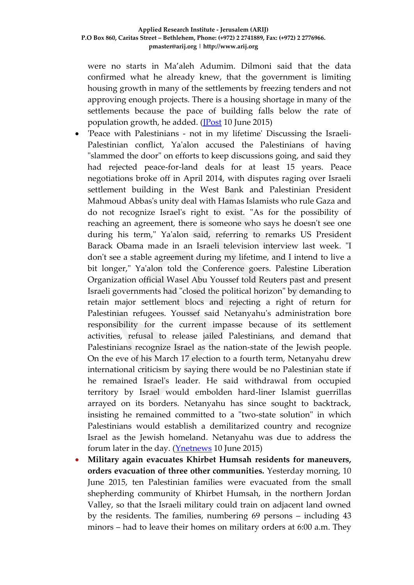were no starts in Ma'aleh Adumim. Dilmoni said that the data confirmed what he already knew, that the government is limiting housing growth in many of the settlements by freezing tenders and not approving enough projects. There is a housing shortage in many of the settlements because the pace of building falls below the rate of population growth, he added. [\(JPost](http://www.jpost.com/Israel-News/Settler-construction-up-sharply-in-first-quarter-405556) 10 June 2015)

- 'Peace with Palestinians not in my lifetime' Discussing the Israeli-Palestinian conflict, Ya'alon accused the Palestinians of having "slammed the door" on efforts to keep discussions going, and said they had rejected peace-for-land deals for at least 15 years. Peace negotiations broke off in April 2014, with disputes raging over Israeli settlement building in the West Bank and Palestinian President Mahmoud Abbas's unity deal with Hamas Islamists who rule Gaza and do not recognize Israel's right to exist. "As for the possibility of reaching an agreement, there is someone who says he doesn't see one during his term," Ya'alon said, referring to remarks US President Barack Obama made in an Israeli television interview last week. "I don't see a stable agreement during my lifetime, and I intend to live a bit longer," Ya'alon told the Conference goers. Palestine Liberation Organization official Wasel Abu Youssef told Reuters past and present Israeli governments had "closed the political horizon" by demanding to retain major settlement blocs and rejecting a right of return for Palestinian refugees. Youssef said Netanyahu's administration bore responsibility for the current impasse because of its settlement activities, refusal to release jailed Palestinians, and demand that Palestinians recognize Israel as the nation-state of the Jewish people. On the eve of his March 17 election to a fourth term, Netanyahu drew international criticism by saying there would be no Palestinian state if he remained Israel's leader. He said withdrawal from occupied territory by Israel would embolden hard-liner Islamist guerrillas arrayed on its borders. Netanyahu has since sought to backtrack, insisting he remained committed to a "two-state solution" in which Palestinians would establish a demilitarized country and recognize Israel as the Jewish homeland. Netanyahu was due to address the forum later in the day. [\(Ynetnews](http://www.ynetnews.com/articles/0,7340,L-4666596,00.html) 10 June 2015)
- **Military again evacuates Khirbet Humsah residents for maneuvers, orders evacuation of three other communities.** Yesterday morning, 10 June 2015, ten Palestinian families were evacuated from the small shepherding community of Khirbet Humsah, in the northern Jordan Valley, so that the Israeli military could train on adjacent land owned by the residents. The families, numbering 69 persons – including 43 minors – had to leave their homes on military orders at 6:00 a.m. They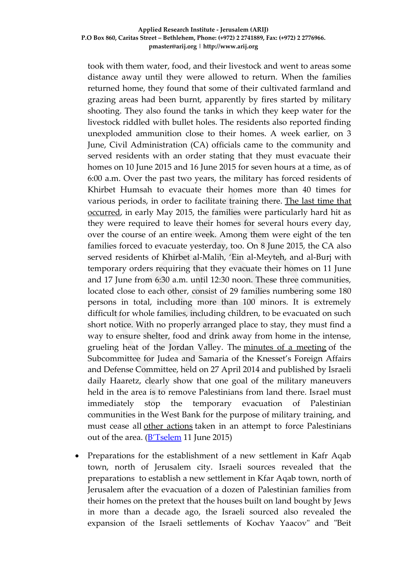took with them water, food, and their livestock and went to areas some distance away until they were allowed to return. When the families returned home, they found that some of their cultivated farmland and grazing areas had been burnt, apparently by fires started by military shooting. They also found the tanks in which they keep water for the livestock riddled with bullet holes. The residents also reported finding unexploded ammunition close to their homes. A week earlier, on 3 June, Civil Administration (CA) officials came to the community and served residents with an order stating that they must evacuate their homes on 10 June 2015 and 16 June 2015 for seven hours at a time, as of 6:00 a.m. Over the past two years, the military has forced residents of Khirbet Humsah to evacuate their homes more than 40 times for various periods, in order to facilitate training there. [The last time that](http://www.btselem.org/area_c/20150521_temp_evacuations_of_communitieis_in_the_jv)  [occurred,](http://www.btselem.org/area_c/20150521_temp_evacuations_of_communitieis_in_the_jv) in early May 2015, the families were particularly hard hit as they were required to leave their homes for several hours every day, over the course of an entire week. Among them were eight of the ten families forced to evacuate yesterday, too. On 8 June 2015, the CA also served residents of Khirbet al-Malih, 'Ein al-Meyteh, and al-Burj with temporary orders requiring that they evacuate their homes on 11 June and 17 June from 6:30 a.m. until 12:30 noon. These three communities, located close to each other, consist of 29 families numbering some 180 persons in total, including more than 100 minors. It is extremely difficult for whole families, including children, to be evacuated on such short notice. With no properly arranged place to stay, they must find a way to ensure shelter, food and drink away from home in the intense, grueling heat of the Jordan Valley. The [minutes of a meeting](http://www.haaretz.co.il/st/inter/Hheb/images/amira1.pdf) of the Subcommittee for Judea and Samaria of the Knesset's Foreign Affairs and Defense Committee, held on 27 April 2014 and published by Israeli daily Haaretz, clearly show that one goal of the military maneuvers held in the area is to remove Palestinians from land there. Israel must immediately stop the temporary evacuation of Palestinian communities in the West Bank for the purpose of military training, and must cease all [other actions](http://www.btselem.org/jordan_valley) taken in an attempt to force Palestinians out of the area. (**[B'Tselem](http://www.btselem.org/area_c/20150610_humsah_temp_evacuation)** 11 June 2015)

 Preparations for the establishment of a new settlement in Kafr Aqab town, north of Jerusalem city. Israeli sources revealed that the preparations to establish a new settlement in Kfar Aqab town, north of Jerusalem after the evacuation of a dozen of Palestinian families from their homes on the pretext that the houses built on land bought by Jews in more than a decade ago, the Israeli sourced also revealed the expansion of the Israeli settlements of Kochav Yaacov" and "Beit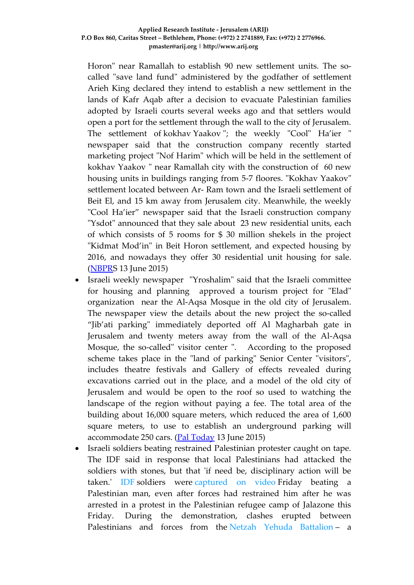Horon" near Ramallah to establish 90 new settlement units. The socalled "save land fund" administered by the godfather of settlement Arieh King declared they intend to establish a new settlement in the lands of Kafr Aqab after a decision to evacuate Palestinian families adopted by Israeli courts several weeks ago and that settlers would open a port for the settlement through the wall to the city of Jerusalem. The settlement of kokhav Yaakov "; the weekly "Cool" Ha'ier " newspaper said that the construction company recently started marketing project "Nof Harim" which will be held in the settlement of kokhav Yaakov " near Ramallah city with the construction of 60 new housing units in buildings ranging from 5-7 floores. "Kokhav Yaakov" settlement located between Ar- Ram town and the Israeli settlement of Beit El, and 15 km away from Jerusalem city. Meanwhile, the weekly "Cool Ha'ier" newspaper said that the Israeli construction company "Ysdot" announced that they sale about 23 new residential units, each of which consists of 5 rooms for \$ 30 million shekels in the project "Kidmat Mod'in" in Beit Horon settlement, and expected housing by 2016, and nowadays they offer 30 residential unit housing for sale. [\(NBPRS](http://nbprs.ps/news.php?action=show&id=22128) 13 June 2015)

- Israeli weekly newspaper "Yroshalim" said that the Israeli committee for housing and planning approved a tourism project for "Elad" organization near the Al-Aqsa Mosque in the old city of Jerusalem. The newspaper view the details about the new project the so-called "Jib'ati parking" immediately deported off Al Magharbah gate in Jerusalem and twenty meters away from the wall of the Al-Aqsa Mosque, the so-called" visitor center ". According to the proposed scheme takes place in the "land of parking" Senior Center "visitors", includes theatre festivals and Gallery of effects revealed during excavations carried out in the place, and a model of the old city of Jerusalem and would be open to the roof so used to watching the landscape of the region without paying a fee. The total area of the building about 16,000 square meters, which reduced the area of 1,600 square meters, to use to establish an underground parking will accommodate 250 cars. [\(Pal Today](http://paltoday.ps/ar/post/240387/%D8%A7%D9%84%D9%85%D8%B5%D8%A7%D8%AF%D9%82%D8%A9-%D8%B9%D9%84%D9%89-%D9%85%D8%B4%D8%B1%D9%88%D8%B9-%D8%A7%D8%B3%D8%AA%D9%8A%D8%B7%D8%A7%D9%86%D9%8A-%D8%B5%D9%87%D9%8A%D9%88%D9%86%D9%8A-%D9%82%D8%A8%D8%A7%D9%84%D8%A9-%D8%A7%D9%84%D8%A3%D9%82%D8%B5%D9%89) 13 June 2015)
- Israeli soldiers beating restrained Palestinian protester caught on tape. The IDF said in response that local Palestinians had attacked the soldiers with stones, but that 'if need be, disciplinary action will be taken.' [IDF](http://www.haaretz.com/misc/tags/IDF-1.476775) soldiers were [captured on video](https://www.youtube.com/watch?v=JbJRL4QrQuE) Friday beating a Palestinian man, even after forces had restrained him after he was arrested in a protest in the Palestinian refugee camp of Jalazone this Friday. During the demonstration, clashes erupted between Palestinians and forces from the [Netzah Yehuda Battalion](http://www.haaretz.com/news/israel/ultra-orthodox-fight-against-draft-makes-haredi-soldiers-even-greater-pariahs-in-community.premium-1.526299) – a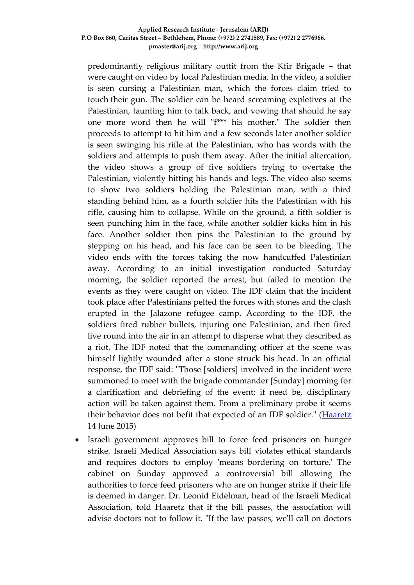predominantly religious military outfit from the Kfir Brigade – that were caught on video by local Palestinian media. In the video, a soldier is seen cursing a Palestinian man, which the forces claim tried to touch their gun. The soldier can be heard screaming expletives at the Palestinian, taunting him to talk back, and vowing that should he say one more word then he will "f\*\*\* his mother." The soldier then proceeds to attempt to hit him and a few seconds later another soldier is seen swinging his rifle at the Palestinian, who has words with the soldiers and attempts to push them away. After the initial altercation, the video shows a group of five soldiers trying to overtake the Palestinian, violently hitting his hands and legs. The video also seems to show two soldiers holding the Palestinian man, with a third standing behind him, as a fourth soldier hits the Palestinian with his rifle, causing him to collapse. While on the ground, a fifth soldier is seen punching him in the face, while another soldier kicks him in his face. Another soldier then pins the Palestinian to the ground by stepping on his head, and his face can be seen to be bleeding. The video ends with the forces taking the now handcuffed Palestinian away. According to an initial investigation conducted Saturday morning, the soldier reported the arrest, but failed to mention the events as they were caught on video. The IDF claim that the incident took place after Palestinians pelted the forces with stones and the clash erupted in the Jalazone refugee camp. According to the IDF, the soldiers fired rubber bullets, injuring one Palestinian, and then fired live round into the air in an attempt to disperse what they described as a riot. The IDF noted that the commanding officer at the scene was himself lightly wounded after a stone struck his head. In an official response, the IDF said: "Those [soldiers] involved in the incident were summoned to meet with the brigade commander [Sunday] morning for a clarification and debriefing of the event; if need be, disciplinary action will be taken against them. From a preliminary probe it seems their behavior does not befit that expected of an IDF soldier." [\(Haaretz](http://www.haaretz.com/news/diplomacy-defense/.premium-1.660994) 14 June 2015)

 Israeli government approves bill to force feed prisoners on hunger strike. Israeli Medical Association says bill violates ethical standards and requires doctors to employ 'means bordering on torture.' The cabinet on Sunday approved a controversial bill allowing the authorities to force feed prisoners who are on hunger strike if their life is deemed in danger. Dr. Leonid Eidelman, head of the Israeli Medical Association, told Haaretz that if the bill passes, the association will advise doctors not to follow it. "If the law passes, we'll call on doctors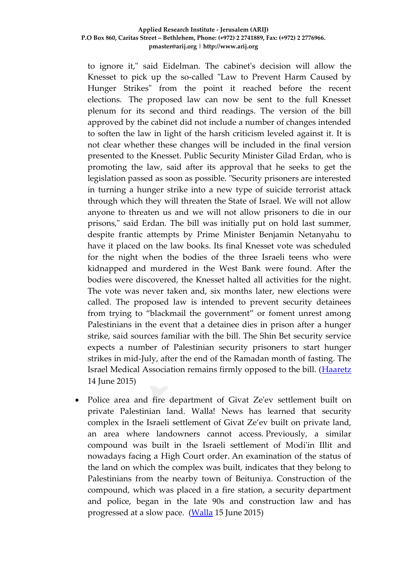to ignore it," said Eidelman. The cabinet's decision will allow the Knesset to pick up the so-called "Law to Prevent Harm Caused by Hunger Strikes" from the point it reached before the recent elections. The proposed law can now be sent to the full Knesset plenum for its second and third readings. The version of the bill approved by the cabinet did not include a number of changes intended to soften the law in light of the harsh criticism leveled against it. It is not clear whether these changes will be included in the final version presented to the Knesset. Public Security Minister Gilad Erdan, who is promoting the law, said after its approval that he seeks to get the legislation passed as soon as possible. "Security prisoners are interested in turning a hunger strike into a new type of suicide terrorist attack through which they will threaten the State of Israel. We will not allow anyone to threaten us and we will not allow prisoners to die in our prisons," said Erdan. The bill was initially put on hold last summer, despite frantic attempts by Prime Minister Benjamin Netanyahu to have it placed on the law books. Its final Knesset vote was scheduled for the night when the bodies of the three Israeli teens who were kidnapped and murdered in the West Bank were found. After the bodies were discovered, the Knesset halted all activities for the night. The vote was never taken and, six months later, new elections were called. The proposed law is intended to prevent security detainees from trying to "blackmail the government" or foment unrest among Palestinians in the event that a detainee dies in prison after a hunger strike, said sources familiar with the bill. The Shin Bet security service expects a number of Palestinian security prisoners to start hunger strikes in mid-July, after the end of the Ramadan month of fasting. The Israel Medical Association remains firmly opposed to the bill. [\(Haaretz](http://www.haaretz.com/news/israel/1.661127) 14 June 2015)

 Police area and fire department of Givat Ze'ev settlement built on private Palestinian land. Walla! News has learned that security complex in the Israeli settlement of Givat Ze'ev built on private land, an area where landowners cannot access. Previously, a similar compound was built in the Israeli settlement of Modi'in Illit and nowadays facing a High Court order. An examination of the status of the land on which the complex was built, indicates that they belong to Palestinians from the nearby town of Beituniya. Construction of the compound, which was placed in a fire station, a security department and police, began in the late 90s and construction law and has progressed at a slow pace. [\(Walla](http://news.walla.co.il/item/2863265) 15 June 2015)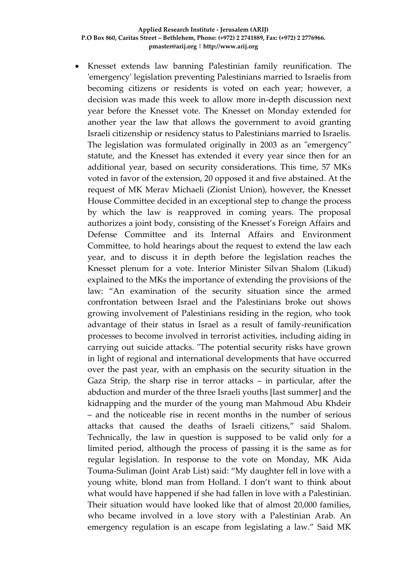Knesset extends law banning Palestinian family reunification. The 'emergency' legislation preventing Palestinians married to Israelis from becoming citizens or residents is voted on each year; however, a decision was made this week to allow more in-depth discussion next year before the Knesset vote. The Knesset on Monday extended for another year the law that allows the government to avoid granting Israeli citizenship or residency status to Palestinians married to Israelis. The legislation was formulated originally in 2003 as an "emergency" statute, and the Knesset has extended it every year since then for an additional year, based on security considerations. This time, 57 MKs voted in favor of the extension, 20 opposed it and five abstained. At the request of MK Merav Michaeli (Zionist Union), however, the Knesset House Committee decided in an exceptional step to change the process by which the law is reapproved in coming years. The proposal authorizes a joint body, consisting of the Knesset's Foreign Affairs and Defense Committee and its Internal Affairs and Environment Committee, to hold hearings about the request to extend the law each year, and to discuss it in depth before the legislation reaches the Knesset plenum for a vote. Interior Minister Silvan Shalom (Likud) explained to the MKs the importance of extending the provisions of the law: "An examination of the security situation since the armed confrontation between Israel and the Palestinians broke out shows growing involvement of Palestinians residing in the region, who took advantage of their status in Israel as a result of family-reunification processes to become involved in terrorist activities, including aiding in carrying out suicide attacks. "The potential security risks have grown in light of regional and international developments that have occurred over the past year, with an emphasis on the security situation in the Gaza Strip, the sharp rise in terror attacks – in particular, after the abduction and murder of the three Israeli youths [last summer] and the kidnapping and the murder of the young man Mahmoud Abu Khdeir – and the noticeable rise in recent months in the number of serious attacks that caused the deaths of Israeli citizens," said Shalom. Technically, the law in question is supposed to be valid only for a limited period, although the process of passing it is the same as for regular legislation. In response to the vote on Monday, MK Aida Touma-Suliman (Joint Arab List) said: "My daughter fell in love with a young white, blond man from Holland. I don't want to think about what would have happened if she had fallen in love with a Palestinian. Their situation would have looked like that of almost 20,000 families, who became involved in a love story with a Palestinian Arab. An emergency regulation is an escape from legislating a law." Said MK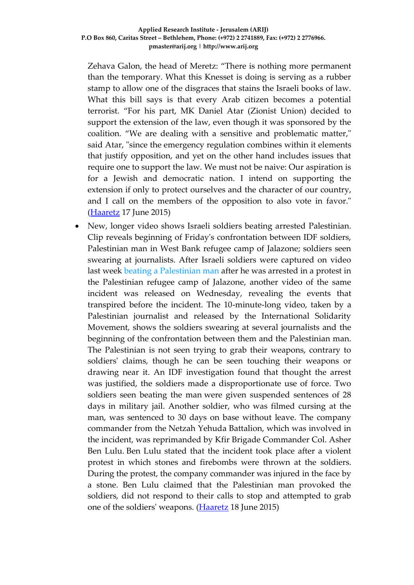Zehava Galon, the head of Meretz: "There is nothing more permanent than the temporary. What this Knesset is doing is serving as a rubber stamp to allow one of the disgraces that stains the Israeli books of law. What this bill says is that every Arab citizen becomes a potential terrorist. "For his part, MK Daniel Atar (Zionist Union) decided to support the extension of the law, even though it was sponsored by the coalition. "We are dealing with a sensitive and problematic matter," said Atar, "since the emergency regulation combines within it elements that justify opposition, and yet on the other hand includes issues that require one to support the law. We must not be naive: Our aspiration is for a Jewish and democratic nation. I intend on supporting the extension if only to protect ourselves and the character of our country, and I call on the members of the opposition to also vote in favor." [\(Haaretz](http://www.haaretz.com/news/diplomacy-defense/.premium-1.661438) 17 June 2015)

 New, longer video shows Israeli soldiers beating arrested Palestinian. Clip reveals beginning of Friday's confrontation between IDF soldiers, Palestinian man in West Bank refugee camp of Jalazone; soldiers seen swearing at journalists. After Israeli soldiers were captured on video last week [beating a Palestinian man](http://www.haaretz.com/news/diplomacy-defense/.premium-1.660994) after he was arrested in a protest in the Palestinian refugee camp of Jalazone, another video of the same incident was released on Wednesday, revealing the events that transpired before the incident. The 10-minute-long video, taken by a Palestinian journalist and released by the International Solidarity Movement, shows the soldiers swearing at several journalists and the beginning of the confrontation between them and the Palestinian man. The Palestinian is not seen trying to grab their weapons, contrary to soldiers' claims, though he can be seen touching their weapons or drawing near it. An IDF investigation found that thought the arrest was justified, the soldiers made a disproportionate use of force. Two soldiers seen beating the man were given suspended sentences of 28 days in military jail. Another soldier, who was filmed cursing at the man, was sentenced to 30 days on base without leave. The company commander from the Netzah Yehuda Battalion, which was involved in the incident, was reprimanded by Kfir Brigade Commander Col. Asher Ben Lulu. Ben Lulu stated that the incident took place after a violent protest in which stones and firebombs were thrown at the soldiers. During the protest, the company commander was injured in the face by a stone. Ben Lulu claimed that the Palestinian man provoked the soldiers, did not respond to their calls to stop and attempted to grab one of the soldiers' weapons. [\(Haaretz](http://www.haaretz.com/news/diplomacy-defense/.premium-1.661787) 18 June 2015)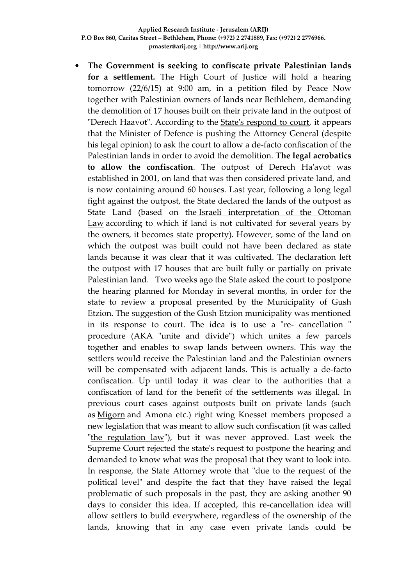**The Government is seeking to confiscate private Palestinian lands for a settlement.** The High Court of Justice will hold a hearing tomorrow (22/6/15) at 9:00 am, in a petition filed by Peace Now together with Palestinian owners of lands near Bethlehem, demanding the demolition of 17 houses built on their private land in the outpost of "Derech Haavot". According to the [State's respond to court,](http://peacenow.org.il/eng/sites/default/files/StateResponseDerechHaavot180615.pdf) it appears that the Minister of Defence is pushing the Attorney General (despite his legal opinion) to ask the court to allow a de-facto confiscation of the Palestinian lands in order to avoid the demolition. **The legal acrobatics to allow the confiscation**. The outpost of Derech Ha'avot was established in 2001, on land that was then considered private land, and is now containing around 60 houses. Last year, following a long legal fight against the outpost, the State declared the lands of the outpost as State Land (based on the Israeli interpretation of the Ottoman [Law](http://peacenow.org.il/eng/ConfiscationMethodsEng) according to which if land is not cultivated for several years by the owners, it becomes state property). However, some of the land on which the outpost was built could not have been declared as state lands because it was clear that it was cultivated. The declaration left the outpost with 17 houses that are built fully or partially on private Palestinian land. Two weeks ago the State asked the court to postpone the hearing planned for Monday in several months, in order for the state to review a proposal presented by the Municipality of Gush Etzion. The suggestion of the Gush Etzion municipality was mentioned in its response to court. The idea is to use a "re- cancellation " procedure (AKA "unite and divide") which unites a few parcels together and enables to swap lands between owners. This way the settlers would receive the Palestinian land and the Palestinian owners will be compensated with adjacent lands. This is actually a de-facto confiscation. Up until today it was clear to the authorities that a confiscation of land for the benefit of the settlements was illegal. In previous court cases against outposts built on private lands (such as [Migorn](http://peacenow.org.il/eng/content/migron-petition) and Amona etc.) right wing Knesset members proposed a new legislation that was meant to allow such confiscation (it was called ["the regulation law"](http://peacenow.org.il/eng/RegulationLaw)), but it was never approved. Last week the Supreme Court rejected the state's request to postpone the hearing and demanded to know what was the proposal that they want to look into. In response, the State Attorney wrote that "due to the request of the political level" and despite the fact that they have raised the legal problematic of such proposals in the past, they are asking another 90 days to consider this idea. If accepted, this re-cancellation idea will allow settlers to build everywhere, regardless of the ownership of the lands, knowing that in any case even private lands could be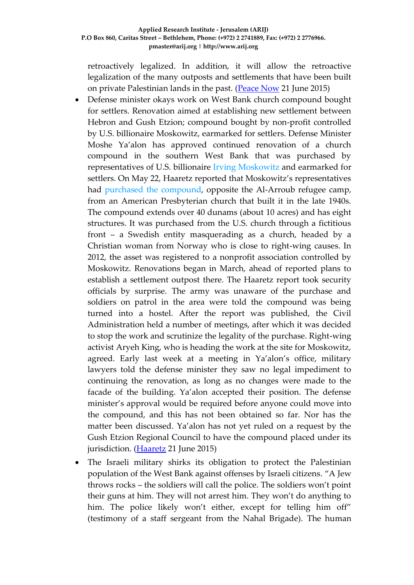retroactively legalized. In addition, it will allow the retroactive legalization of the many outposts and settlements that have been built on private Palestinian lands in the past. [\(Peace Now](http://peacenow.org.il/eng/Reparcellation_Derech_Haavot) 21 June 2015)

- Defense minister okays work on West Bank church compound bought for settlers. Renovation aimed at establishing new settlement between Hebron and Gush Etzion; compound bought by non-profit controlled by U.S. billionaire Moskowitz, earmarked for settlers. Defense Minister Moshe Ya'alon has approved continued renovation of a church compound in the southern West Bank that was purchased by representatives of U.S. billionaire [Irving Moskowitz](http://www.haaretz.com/news/israel/.premium-1.658344) and earmarked for settlers. On May 22, Haaretz reported that Moskowitz's representatives had [purchased the compound,](http://www.haaretz.com/news/diplomacy-defense/.premium-1.657700) opposite the Al-Arroub refugee camp, from an American Presbyterian church that built it in the late 1940s. The compound extends over 40 dunams (about 10 acres) and has eight structures. It was purchased from the U.S. church through a fictitious front – a Swedish entity masquerading as a church, headed by a Christian woman from Norway who is close to right-wing causes. In 2012, the asset was registered to a nonprofit association controlled by Moskowitz. Renovations began in March, ahead of reported plans to establish a settlement outpost there. The Haaretz report took security officials by surprise. The army was unaware of the purchase and soldiers on patrol in the area were told the compound was being turned into a hostel. After the report was published, the Civil Administration held a number of meetings, after which it was decided to stop the work and scrutinize the legality of the purchase. Right-wing activist Aryeh King, who is heading the work at the site for Moskowitz, agreed. Early last week at a meeting in Ya'alon's office, military lawyers told the defense minister they saw no legal impediment to continuing the renovation, as long as no changes were made to the facade of the building. Ya'alon accepted their position. The defense minister's approval would be required before anyone could move into the compound, and this has not been obtained so far. Nor has the matter been discussed. Ya'alon has not yet ruled on a request by the Gush Etzion Regional Council to have the compound placed under its jurisdiction. [\(Haaretz](http://www.haaretz.com/news/diplomacy-defense/.premium-1.662191) 21 June 2015)
- The Israeli military shirks its obligation to protect the Palestinian population of the West Bank against offenses by Israeli citizens. "A Jew throws rocks – the soldiers will call the police. The soldiers won't point their guns at him. They will not arrest him. They won't do anything to him. The police likely won't either, except for telling him off" (testimony of a staff sergeant from the Nahal Brigade). The human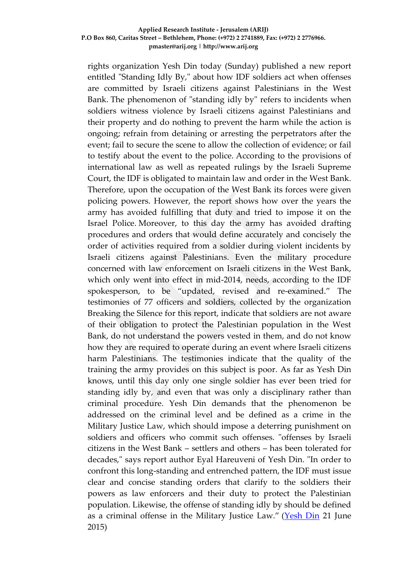rights organization Yesh Din today (Sunday) published a new report entitled "Standing Idly By," about how IDF soldiers act when offenses are committed by Israeli citizens against Palestinians in the West Bank. The phenomenon of "standing idly by" refers to incidents when soldiers witness violence by Israeli citizens against Palestinians and their property and do nothing to prevent the harm while the action is ongoing; refrain from detaining or arresting the perpetrators after the event; fail to secure the scene to allow the collection of evidence; or fail to testify about the event to the police. According to the provisions of international law as well as repeated rulings by the Israeli Supreme Court, the IDF is obligated to maintain law and order in the West Bank. Therefore, upon the occupation of the West Bank its forces were given policing powers. However, the report shows how over the years the army has avoided fulfilling that duty and tried to impose it on the Israel Police. Moreover, to this day the army has avoided drafting procedures and orders that would define accurately and concisely the order of activities required from a soldier during violent incidents by Israeli citizens against Palestinians. Even the military procedure concerned with law enforcement on Israeli citizens in the West Bank, which only went into effect in mid-2014, needs, according to the IDF spokesperson, to be "updated, revised and re-examined." The testimonies of 77 officers and soldiers, collected by the organization Breaking the Silence for this report, indicate that soldiers are not aware of their obligation to protect the Palestinian population in the West Bank, do not understand the powers vested in them, and do not know how they are required to operate during an event where Israeli citizens harm Palestinians. The testimonies indicate that the quality of the training the army provides on this subject is poor. As far as Yesh Din knows, until this day only one single soldier has ever been tried for standing idly by, and even that was only a disciplinary rather than criminal procedure. Yesh Din demands that the phenomenon be addressed on the criminal level and be defined as a crime in the Military Justice Law, which should impose a deterring punishment on soldiers and officers who commit such offenses. "offenses by Israeli citizens in the West Bank – settlers and others – has been tolerated for decades," says report author Eyal Hareuveni of Yesh Din. "In order to confront this long-standing and entrenched pattern, the IDF must issue clear and concise standing orders that clarify to the soldiers their powers as law enforcers and their duty to protect the Palestinian population. Likewise, the offense of standing idly by should be defined as a criminal offense in the Military Justice Law." [\(Yesh Din](http://www.yesh-din.org/postview.asp?postid=312) 21 June 2015)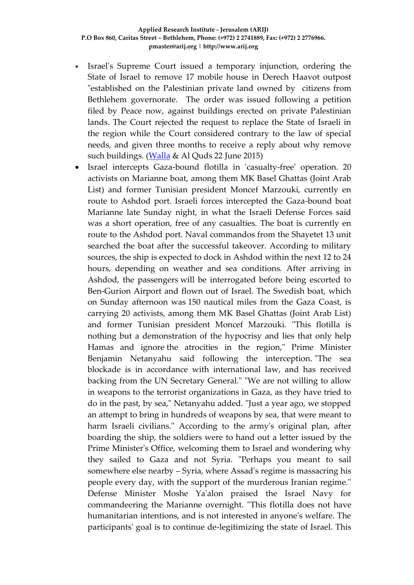- Israel's Supreme Court issued a temporary injunction, ordering the State of Israel to remove 17 mobile house in Derech Haavot outpost "established on the Palestinian private land owned by citizens from Bethlehem governorate. The order was issued following a petition filed by Peace now, against buildings erected on private Palestinian lands. The Court rejected the request to replace the State of Israeli in the region while the Court considered contrary to the law of special needs, and given three months to receive a reply about why remove such buildings. [\(Walla](http://news.walla.co.il/item/2865839) & Al Quds 22 June 2015)
- Israel intercepts Gaza-bound flotilla in 'casualty-free' operation. 20 activists on Marianne boat, among them MK Basel Ghattas (Joint Arab List) and former Tunisian president Moncef Marzouki, currently en route to Ashdod port. Israeli forces intercepted the Gaza-bound boat Marianne late Sunday night, in what the Israeli Defense Forces said was a short operation, free of any casualties. The boat is currently en route to the Ashdod port. Naval commandos from the Shayetet 13 unit searched the boat after the successful takeover. According to military sources, the ship is expected to dock in Ashdod within the next 12 to 24 hours, depending on weather and sea conditions. After arriving in Ashdod, the passengers will be interrogated before being escorted to Ben-Gurion Airport and flown out of Israel. The Swedish boat, which on Sunday afternoon was 150 nautical miles from the Gaza Coast, is carrying 20 activists, among them MK Basel Ghattas (Joint Arab List) and former Tunisian president Moncef Marzouki. "This flotilla is nothing but a demonstration of the hypocrisy and lies that only help Hamas and ignore the atrocities in the region," Prime Minister Benjamin Netanyahu said following the interception. "The sea blockade is in accordance with international law, and has received backing from the UN Secretary General." "We are not willing to allow in weapons to the terrorist organizations in Gaza, as they have tried to do in the past, by sea," Netanyahu added. "Just a year ago, we stopped an attempt to bring in hundreds of weapons by sea, that were meant to harm Israeli civilians." According to the army's original plan, after boarding the ship, the soldiers were to hand out a letter issued by the Prime Minister's Office, welcoming them to Israel and wondering why they sailed to Gaza and not Syria. "Perhaps you meant to sail somewhere else nearby – Syria, where Assad's regime is massacring his people every day, with the support of the murderous Iranian regime." Defense Minister Moshe Ya'alon praised the Israel Navy for commandeering the Marianne overnight. "This flotilla does not have humanitarian intentions, and is not interested in anyone's welfare. The participants' goal is to continue de-legitimizing the state of Israel. This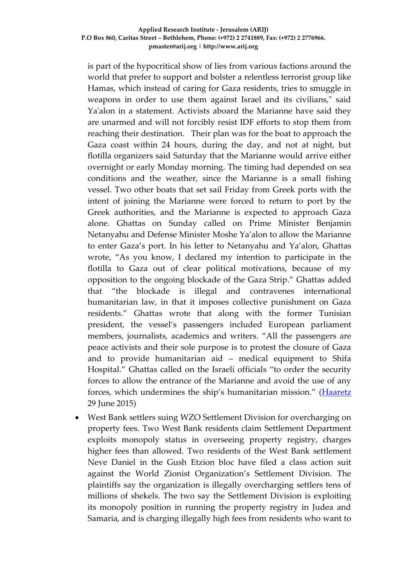is part of the hypocritical show of lies from various factions around the world that prefer to support and bolster a relentless terrorist group like Hamas, which instead of caring for Gaza residents, tries to smuggle in weapons in order to use them against Israel and its civilians," said Ya'alon in a statement. Activists aboard the Marianne have said they are unarmed and will not forcibly resist IDF efforts to stop them from reaching their destination. Their plan was for the boat to approach the Gaza coast within 24 hours, during the day, and not at night, but flotilla organizers said Saturday that the Marianne would arrive either overnight or early Monday morning. The timing had depended on sea conditions and the weather, since the Marianne is a small fishing vessel. Two other boats that set sail Friday from Greek ports with the intent of joining the Marianne were forced to return to port by the Greek authorities, and the Marianne is expected to approach Gaza alone. Ghattas on Sunday called on Prime Minister Benjamin Netanyahu and Defense Minister Moshe Ya'alon to allow the Marianne to enter Gaza's port. In his letter to Netanyahu and Ya'alon, Ghattas wrote, "As you know, I declared my intention to participate in the flotilla to Gaza out of clear political motivations, because of my opposition to the ongoing blockade of the Gaza Strip." Ghattas added that "the blockade is illegal and contravenes international humanitarian law, in that it imposes collective punishment on Gaza residents." Ghattas wrote that along with the former Tunisian president, the vessel's passengers included European parliament members, journalists, academics and writers. "All the passengers are peace activists and their sole purpose is to protest the closure of Gaza and to provide humanitarian aid – medical equipment to Shifa Hospital." Ghattas called on the Israeli officials "to order the security forces to allow the entrance of the Marianne and avoid the use of any forces, which undermines the ship's humanitarian mission." [\(Haaretz](http://www.haaretz.com/news/diplomacy-defense/.premium-1.663423) 29 June 2015)

 West Bank settlers suing WZO Settlement Division for overcharging on property fees. Two West Bank residents claim Settlement Department exploits monopoly status in overseeing property registry, charges higher fees than allowed. Two residents of the West Bank settlement Neve Daniel in the Gush Etzion bloc have filed a class action suit against the World Zionist Organization's Settlement Division. The plaintiffs say the organization is illegally overcharging settlers tens of millions of shekels. The two say the Settlement Division is exploiting its monopoly position in running the property registry in Judea and Samaria, and is charging illegally high fees from residents who want to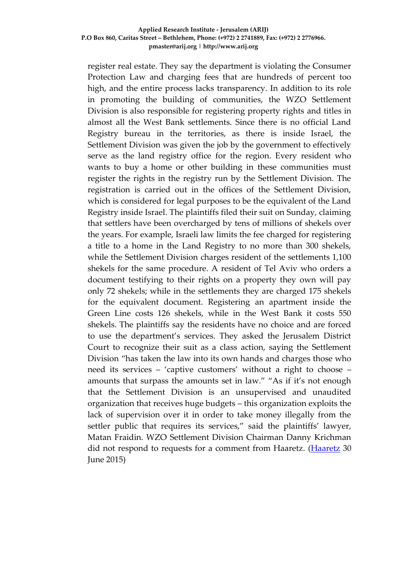register real estate. They say the department is violating the Consumer Protection Law and charging fees that are hundreds of percent too high, and the entire process lacks transparency. In addition to its role in promoting the building of communities, the WZO Settlement Division is also responsible for registering property rights and titles in almost all the West Bank settlements. Since there is no official Land Registry bureau in the territories, as there is inside Israel, the Settlement Division was given the job by the government to effectively serve as the land registry office for the region. Every resident who wants to buy a home or other building in these communities must register the rights in the registry run by the Settlement Division. The registration is carried out in the offices of the Settlement Division, which is considered for legal purposes to be the equivalent of the Land Registry inside Israel. The plaintiffs filed their suit on Sunday, claiming that settlers have been overcharged by tens of millions of shekels over the years. For example, Israeli law limits the fee charged for registering a title to a home in the Land Registry to no more than 300 shekels, while the Settlement Division charges resident of the settlements 1,100 shekels for the same procedure. A resident of Tel Aviv who orders a document testifying to their rights on a property they own will pay only 72 shekels; while in the settlements they are charged 175 shekels for the equivalent document. Registering an apartment inside the Green Line costs 126 shekels, while in the West Bank it costs 550 shekels. The plaintiffs say the residents have no choice and are forced to use the department's services. They asked the Jerusalem District Court to recognize their suit as a class action, saying the Settlement Division "has taken the law into its own hands and charges those who need its services – 'captive customers' without a right to choose – amounts that surpass the amounts set in law." "As if it's not enough that the Settlement Division is an unsupervised and unaudited organization that receives huge budgets – this organization exploits the lack of supervision over it in order to take money illegally from the settler public that requires its services," said the plaintiffs' lawyer, Matan Fraidin. WZO Settlement Division Chairman Danny Krichman did not respond to requests for a comment from Haaretz. [\(Haaretz](http://www.haaretz.com/news/israel/.premium-1.663707) 30 June 2015)